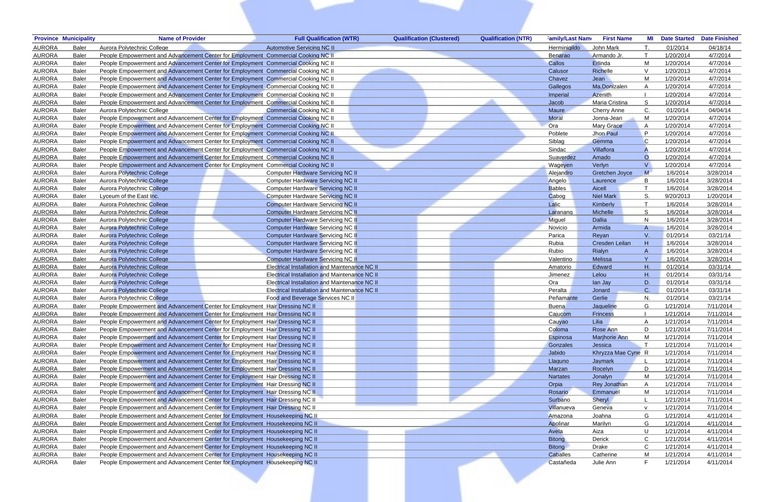| <b>Province Municipality</b>  | <b>Name of Provider</b>                                                           | <b>Full Qualification (WTR)</b>                      | <b>Qualification (Clustered)</b> | <b>Qualification (NTR)</b> | <b>Family/Last Name</b> | <b>First Name</b>     | MI           | <b>Date Started</b> | <b>Date Finished</b> |
|-------------------------------|-----------------------------------------------------------------------------------|------------------------------------------------------|----------------------------------|----------------------------|-------------------------|-----------------------|--------------|---------------------|----------------------|
| <b>AURORA</b><br>Baler        | Aurora Polytechnic College                                                        | Automotive Servicing NC II                           |                                  |                            | <b>Herminigildo</b>     | John Mark             |              | 01/20/14            | 04/18/14             |
| <b>AURORA</b><br><b>Baler</b> | People Empowerment and Advancement Center for Employment Commercial Cooking NC II |                                                      |                                  |                            | <b>Benarao</b>          | Armando Jr.           |              | 1/20/2014           | 4/7/2014             |
| <b>AURORA</b><br><b>Baler</b> | People Empowerment and Advancement Center for Employment Commercial Cooking NC II |                                                      |                                  |                            | Callos                  | Erlinda               | м            | 1/20/2014           | 4/7/2014             |
| <b>AURORA</b><br><b>Baler</b> | People Empowerment and Advancement Center for Employment Commercial Cooking NC II |                                                      |                                  |                            | Calusor                 | Richelle              |              | 1/20/2013           | 4/7/2014             |
| <b>AURORA</b><br><b>Baler</b> | People Empowerment and Advancement Center for Employment Commercial Cooking NC II |                                                      |                                  |                            | Chavez                  | Jean                  |              | 1/20/2014           | 4/7/2014             |
| <b>AURORA</b><br><b>Baler</b> | People Empowerment and Advancement Center for Employment Commercial Cooking NC II |                                                      |                                  |                            | Gallegos                | Ma.Donizalen          |              | 1/20/2014           | 4/7/2014             |
| <b>AURORA</b><br><b>Baler</b> | People Empowerment and Advancement Center for Employment Commercial Cooking NC II |                                                      |                                  |                            | Imperial                | Azenith               |              | 1/20/2014           | 4/7/2014             |
| <b>AURORA</b><br><b>Baler</b> | People Empowerment and Advancement Center for Employment Commercial Cooking NC II |                                                      |                                  |                            | Jacob                   | Maria Cristina        | S            | 1/20/2014           | 4/7/2014             |
| <b>AURORA</b><br><b>Baler</b> | Aurora Polytechnic College                                                        | <b>Commercial Cooking NC II</b>                      |                                  |                            | Maure                   | <b>Cherry Anne</b>    | C.           | 01/20/14            | 04/04/14             |
| <b>AURORA</b><br><b>Baler</b> | People Empowerment and Advancement Center for Employment Commercial Cooking NC II |                                                      |                                  |                            | Moral                   | Jonna-Jean            | M            | 1/20/2014           | 4/7/2014             |
| <b>AURORA</b><br><b>Baler</b> | People Empowerment and Advancement Center for Employment Commercial Cooking NC II |                                                      |                                  |                            | Ora                     | <b>Mary Grace</b>     | A            | 1/20/2014           | 4/7/2014             |
| <b>AURORA</b><br><b>Baler</b> | People Empowerment and Advancement Center for Employment Commercial Cooking NC II |                                                      |                                  |                            | Poblete                 | Jhon Paul             | P            | 1/20/2014           | 4/7/2014             |
| <b>AURORA</b><br><b>Baler</b> | People Empowerment and Advancement Center for Employment Commercial Cooking NC II |                                                      |                                  |                            | Siblag                  | Gemma                 |              | 1/20/2014           | 4/7/2014             |
| <b>AURORA</b><br><b>Baler</b> | People Empowerment and Advancement Center for Employment Commercial Cooking NC II |                                                      |                                  |                            | Sindac                  | Villaflora            |              | 1/20/2014           | 4/7/2014             |
| <b>AURORA</b><br><b>Baler</b> | People Empowerment and Advancement Center for Employment Commercial Cooking NC II |                                                      |                                  |                            | Suaverdez               | Amado                 | $\Omega$     | 1/20/2014           | 4/7/2014             |
| <b>AURORA</b><br><b>Baler</b> | People Empowerment and Advancement Center for Employment Commercial Cooking NC II |                                                      |                                  |                            | Wageyen                 | Verlyn                |              | 1/20/2014           | 4/7/2014             |
| <b>AURORA</b><br><b>Baler</b> | Aurora Polytechnic College                                                        | <b>Computer Hardware Servicing NC II</b>             |                                  |                            | Alejandro               | <b>Gretchen Joyce</b> |              | 1/6/2014            | 3/28/2014            |
| <b>AURORA</b><br><b>Baler</b> | Aurora Polytechnic College                                                        | <b>Computer Hardware Servicing NC II</b>             |                                  |                            | Angelo                  | Laurence              | <sub>B</sub> | 1/6/2014            | 3/28/2014            |
| <b>AURORA</b><br><b>Baler</b> | Aurora Polytechnic College                                                        | <b>Computer Hardware Servicing NC II</b>             |                                  |                            | <b>Bables</b>           | Aicell                |              | 1/6/2014            | 3/28/2014            |
| <b>AURORA</b><br><b>Baler</b> | Lyceum of the East Inc.                                                           | <b>Computer Hardware Servicing NC II</b>             |                                  |                            | Cabog                   | <b>Niel Mark</b>      |              | 9/20/2013           | 1/20/2014            |
| <b>AURORA</b><br><b>Baler</b> | Aurora Polytechnic College                                                        | <b>Computer Hardware Servicing NC II</b>             |                                  |                            | Lalic                   | Kimberly              |              | 1/6/2014            | 3/28/2014            |
| <b>AURORA</b><br><b>Baler</b> | Aurora Polytechnic College                                                        | <b>Computer Hardware Servicing NC II</b>             |                                  |                            | Laranang                | Michelle              | S.           | 1/6/2014            | 3/28/2014            |
| <b>AURORA</b><br><b>Baler</b> | Aurora Polytechnic College                                                        | <b>Computer Hardware Servicing NC II</b>             |                                  |                            | Miguel                  | Dallia                | N            | 1/6/2014            | 3/28/2014            |
| <b>AURORA</b><br><b>Baler</b> | Aurora Polytechnic College                                                        | <b>Computer Hardware Servicing NC II</b>             |                                  |                            | Novicio                 | Armida                | A            | 1/6/2014            | 3/28/2014            |
| <b>AURORA</b><br><b>Baler</b> | Aurora Polytechnic College                                                        | <b>Computer Hardware Servicing NC II</b>             |                                  |                            | Parica                  | Revan                 | V.           | 01/20/14            | 03/21/14             |
| <b>AURORA</b><br><b>Baler</b> | Aurora Polytechnic College                                                        | <b>Computer Hardware Servicing NC II</b>             |                                  |                            | Rubia                   | Cresden Leilan        | H            | 1/6/2014            | 3/28/2014            |
| <b>AURORA</b><br><b>Baler</b> | Aurora Polytechnic College                                                        | <b>Computer Hardware Servicing NC II</b>             |                                  |                            | Rubio                   | Rialyn                | A            | 1/6/2014            | 3/28/2014            |
| <b>AURORA</b><br><b>Baler</b> | Aurora Polytechnic College                                                        | <b>Computer Hardware Servicing NC II</b>             |                                  |                            | Valentino               | <b>Melissa</b>        | Y            | 1/6/2014            | 3/28/2014            |
| <b>AURORA</b><br><b>Baler</b> | Aurora Polytechnic College                                                        | <b>Electrical Installation and Maintenance NC II</b> |                                  |                            | Amatorio                | Edward                | Η.           | 01/20/14            | 03/31/14             |
| <b>AURORA</b><br><b>Baler</b> | <b>Aurora Polytechnic College</b>                                                 | <b>Electrical Installation and Maintenance NC II</b> |                                  |                            | Jimenez                 | Lelou                 |              | 01/20/14            | 03/31/14             |
| <b>AURORA</b><br><b>Baler</b> | Aurora Polytechnic College                                                        | <b>Electrical Installation and Maintenance NC II</b> |                                  |                            | Ora                     | lan Jay               | D.           | 01/20/14            | 03/31/14             |
| <b>AURORA</b><br><b>Baler</b> | Aurora Polytechnic College                                                        | <b>Electrical Installation and Maintenance NC II</b> |                                  |                            | Peralta                 | Jonard                | C.           | 01/20/14            | 03/31/14             |
| <b>AURORA</b><br><b>Baler</b> | Aurora Polytechnic College                                                        | Food and Beverage Services NC II                     |                                  |                            | Peñamante               | Gerlie                | N.           | 01/20/14            | 03/21/14             |
| <b>AURORA</b><br>Baler        | People Empowerment and Advancement Center for Employment Hair Dressing NC II      |                                                      |                                  |                            | <b>Buena</b>            | Jaqueline             | G            | 1/21/2014           | 7/11/2014            |
| <b>AURORA</b><br>Baler        | People Empowerment and Advancement Center for Employment Hair Dressing NC II      |                                                      |                                  |                            | Cajucom                 | <b>Frincess</b>       |              | 1/21/2014           | 7/11/2014            |
| <b>AURORA</b><br><b>Baler</b> | People Empowerment and Advancement Center for Employment Hair Dressing NC II      |                                                      |                                  |                            | Cauyao                  | Lilia                 |              | 1/21/2014           | 7/11/2014            |
| <b>AURORA</b><br><b>Baler</b> | People Empowerment and Advancement Center for Employment Hair Dressing NC II      |                                                      |                                  |                            | Coloma                  | Rose Ann              | D            | 1/21/2014           | 7/11/2014            |
| <b>AURORA</b><br><b>Baler</b> | People Empowerment and Advancement Center for Employment Hair Dressing NC II      |                                                      |                                  |                            | Espinosa                | <b>Marjhorie Ann</b>  |              | 1/21/2014           | 7/11/2014            |
| <b>AURORA</b><br><b>Baler</b> | People Empowerment and Advancement Center for Employment Hair Dressing NC II      |                                                      |                                  |                            | Gonzales                | Jessica               |              | 1/21/2014           | 7/11/2014            |
| <b>AURORA</b><br><b>Baler</b> | People Empowerment and Advancement Center for Employment Hair Dressing NC II      |                                                      |                                  |                            | Jabido                  | Khryzza Mae Cyne R    |              | 1/21/2014           | 7/11/2014            |
| <b>AURORA</b><br><b>Baler</b> | People Empowerment and Advancement Center for Employment Hair Dressing NC II      |                                                      |                                  |                            | Llaguno                 | Jaymark               |              | 1/21/2014           | 7/11/2014            |
| <b>AURORA</b><br><b>Baler</b> | People Empowerment and Advancement Center for Employment Hair Dressing NC II      |                                                      |                                  |                            | Marzan                  | Rocelyn               | D            | 1/21/2014           | 7/11/2014            |
| <b>AURORA</b><br>Baler        | People Empowerment and Advancement Center for Employment Hair Dressing NC II      |                                                      |                                  |                            | <b>Nartates</b>         | Jonalyn               | M            | 1/21/2014           | 7/11/2014            |
| <b>AURORA</b><br>Baler        | People Empowerment and Advancement Center for Employment Hair Dressing NC II      |                                                      |                                  |                            | Orpia                   | <b>Rey Jonathan</b>   | A            | 1/21/2014           | 7/11/2014            |
| <b>AURORA</b><br>Baler        | People Empowerment and Advancement Center for Employment Hair Dressing NC II      |                                                      |                                  |                            | Rosario                 | Emmanuel              | M            | 1/21/2014           | 7/11/2014            |
| <b>AURORA</b><br>Baler        | People Empowerment and Advancement Center for Employment Hair Dressing NC II      |                                                      |                                  |                            | Surbano                 | Sheryl                |              | 1/21/2014           | 7/11/2014            |
| <b>AURORA</b><br>Baler        | People Empowerment and Advancement Center for Employment Hair Dressing NC II      |                                                      |                                  |                            | Villanueva              | Geneva                | $\mathsf{v}$ | 1/21/2014           | 7/11/2014            |
| <b>AURORA</b><br>Baler        | People Empowerment and Advancement Center for Employment Housekeeping NC II       |                                                      |                                  |                            | Amazona                 | Joahna                | G            | 1/21/2014           | 4/11/2014            |
| <b>AURORA</b><br>Baler        | People Empowerment and Advancement Center for Employment Housekeeping NC II       |                                                      |                                  |                            | Apolinar                | Marilyn               | G            | 1/21/2014           | 4/11/2014            |
| <b>AURORA</b><br>Baler        | People Empowerment and Advancement Center for Employment Housekeeping NC II       |                                                      |                                  |                            | Avela                   | Aiza                  | U            | 1/21/2014           | 4/11/2014            |
| <b>AURORA</b><br>Baler        | People Empowerment and Advancement Center for Employment Housekeeping NC II       |                                                      |                                  |                            | <b>Bitong</b>           | Derick                | $\mathsf{C}$ | 1/21/2014           | 4/11/2014            |
| <b>AURORA</b><br>Baler        | People Empowerment and Advancement Center for Employment Housekeeping NC II       |                                                      |                                  |                            | <b>Bitong</b>           | Drake                 | $\mathsf{C}$ | 1/21/2014           | 4/11/2014            |
| <b>AURORA</b><br>Baler        | People Empowerment and Advancement Center for Employment Housekeeping NC II       |                                                      |                                  |                            | Caballes                | Catherine             | M            | 1/21/2014           | 4/11/2014            |
| <b>AURORA</b><br>Baler        | People Empowerment and Advancement Center for Employment Housekeeping NC II       |                                                      |                                  |                            | Castañeda               | Julie Ann             | E            | 1/21/2014           | 4/11/2014            |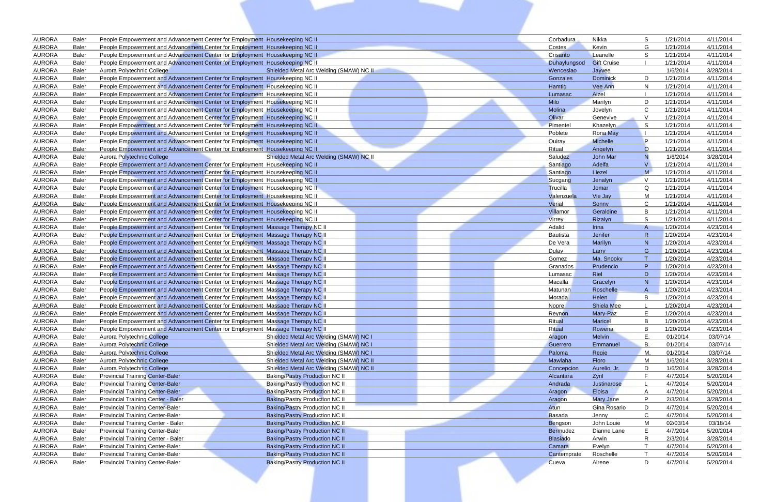| <b>AURORA</b>                  | Baler                        | People Empowerment and Advancement Center for Employment Housekeeping NC II                                                                                |                                                                                  | Corbadura           | Nikka                              | S                      | 1/21/2014              | 4/11/2014              |
|--------------------------------|------------------------------|------------------------------------------------------------------------------------------------------------------------------------------------------------|----------------------------------------------------------------------------------|---------------------|------------------------------------|------------------------|------------------------|------------------------|
| <b>AURORA</b>                  | <b>Baler</b>                 | People Empowerment and Advancement Center for Employment Housekeeping NC II                                                                                |                                                                                  | Costes              | Kevin                              | G                      | 1/21/2014              | 4/11/2014              |
| <b>AURORA</b>                  | Baler                        | People Empowerment and Advancement Center for Employment Housekeeping NC II                                                                                |                                                                                  | Crisanto            | Leanelle                           | <b>S</b>               | 1/21/2014              | 4/11/2014              |
| <b>AURORA</b>                  | <b>Baler</b>                 | People Empowerment and Advancement Center for Employment Housekeeping NC II                                                                                |                                                                                  | Duhaylungsod        | <b>Gift Cruise</b>                 |                        | 1/21/2014              | 4/11/2014              |
| <b>AURORA</b>                  | <b>Baler</b>                 | Aurora Polytechnic College                                                                                                                                 | Shielded Metal Arc Welding (SMAW) NC II                                          | Wenceslao           | Jayvee                             |                        | 1/6/2014               | 3/28/2014              |
| <b>AURORA</b>                  | <b>Baler</b>                 | People Empowerment and Advancement Center for Employment Housekeeping NC II                                                                                |                                                                                  | Gonzales            | <b>Dominick</b>                    | D                      | 1/21/2014              | 4/11/2014              |
| <b>AURORA</b>                  | <b>Baler</b>                 | People Empowerment and Advancement Center for Employment Housekeeping NC II                                                                                |                                                                                  | Hamtig              | Vee Ann                            | N                      | 1/21/2014              | 4/11/2014              |
| <b>AURORA</b>                  | Baler                        | People Empowerment and Advancement Center for Employment Housekeeping NC II                                                                                |                                                                                  | Lumasac             | Aizel                              |                        | 1/21/2014              | 4/11/2014              |
| <b>AURORA</b>                  | <b>Baler</b>                 | People Empowerment and Advancement Center for Employment Housekeeping NC II                                                                                |                                                                                  | <b>Milo</b>         | Marilyn                            | D                      | 1/21/2014              | 4/11/2014              |
| <b>AURORA</b>                  | <b>Baler</b>                 | People Empowerment and Advancement Center for Employment Housekeeping NC II                                                                                |                                                                                  | Molina              | Jovelyn                            | <sub>C</sub><br>$\vee$ | 1/21/2014              | 4/11/2014              |
| <b>AURORA</b>                  | <b>Baler</b>                 | People Empowerment and Advancement Center for Employment Housekeeping NC II                                                                                |                                                                                  | Olivar              | Genevive                           | -S                     | 1/21/2014              | 4/11/2014              |
| <b>AURORA</b><br><b>AURORA</b> | <b>Baler</b><br><b>Baler</b> | People Empowerment and Advancement Center for Employment Housekeeping NC II<br>People Empowerment and Advancement Center for Employment Housekeeping NC II |                                                                                  | Pimentel<br>Poblete | Khazelyn                           |                        | 1/21/2014              | 4/11/2014<br>4/11/2014 |
| <b>AURORA</b>                  | <b>Baler</b>                 | People Empowerment and Advancement Center for Employment Housekeeping NC II                                                                                |                                                                                  | Quiray              | <b>Rona May</b><br><b>Michelle</b> | P                      | 1/21/2014<br>1/21/2014 | 4/11/2014              |
| <b>AURORA</b>                  | <b>Baler</b>                 | People Empowerment and Advancement Center for Employment Housekeeping NC II                                                                                |                                                                                  | Ritual              | Angelyn                            | $\circ$                | 1/21/2014              | 4/11/2014              |
| <b>AURORA</b>                  | Baler                        | Aurora Polytechnic College                                                                                                                                 | Shielded Metal Arc Welding (SMAW) NC II                                          | Saludez             | John Mar                           | N                      | 1/6/2014               | 3/28/2014              |
| <b>AURORA</b>                  | <b>Baler</b>                 | People Empowerment and Advancement Center for Employment Housekeeping NC II                                                                                |                                                                                  | Santiago            | Adelfa                             | $\vee$                 | 1/21/2014              | 4/11/2014              |
| <b>AURORA</b>                  | <b>Baler</b>                 | People Empowerment and Advancement Center for Employment Housekeeping NC II                                                                                |                                                                                  | Santiago            | Liezel                             | M                      | 1/21/2014              | 4/11/2014              |
| <b>AURORA</b>                  | <b>Baler</b>                 | People Empowerment and Advancement Center for Employment Housekeeping NC II                                                                                |                                                                                  | Sucgang             | Jenalyn                            | $\overline{V}$         | 1/21/2014              | 4/11/2014              |
| <b>AURORA</b>                  | Baler                        | People Empowerment and Advancement Center for Employment Housekeeping NC II                                                                                |                                                                                  | Trucilla            | Jomar                              | $\Omega$               | 1/21/2014              | 4/11/2014              |
| <b>AURORA</b>                  | <b>Baler</b>                 | People Empowerment and Advancement Center for Employment Housekeeping NC II                                                                                |                                                                                  | Valenzuela          | Vie Jay                            | M                      | 1/21/2014              | 4/11/2014              |
| <b>AURORA</b>                  | <b>Baler</b>                 | People Empowerment and Advancement Center for Employment Housekeeping NC II                                                                                |                                                                                  | Verial              | Sonny                              | C                      | 1/21/2014              | 4/11/2014              |
| <b>AURORA</b>                  | <b>Baler</b>                 | People Empowerment and Advancement Center for Employment Housekeeping NC II                                                                                |                                                                                  | Villamor            | Geraldine                          | B                      | 1/21/2014              | 4/11/2014              |
| <b>AURORA</b>                  | <b>Baler</b>                 | People Empowerment and Advancement Center for Employment Housekeeping NC II                                                                                |                                                                                  | <b>Virrey</b>       | Rizalyn                            | <b>S</b>               | 1/21/2014              | 4/11/2014              |
| <b>AURORA</b>                  | <b>Baler</b>                 | People Empowerment and Advancement Center for Employment Massage Therapy NC II                                                                             |                                                                                  | Adalid              | Irina                              | $\overline{A}$         | 1/20/2014              | 4/23/2014              |
| <b>AURORA</b>                  | <b>Baler</b>                 | People Empowerment and Advancement Center for Employment Massage Therapy NC II                                                                             |                                                                                  | Bautista            | Jenifer                            | R                      | 1/20/2014              | 4/23/2014              |
| <b>AURORA</b>                  | <b>Baler</b>                 | People Empowerment and Advancement Center for Employment Massage Therapy NC II                                                                             |                                                                                  | De Vera             | Marilyn                            | N                      | 1/20/2014              | 4/23/2014              |
| <b>AURORA</b>                  | <b>Baler</b>                 | People Empowerment and Advancement Center for Employment Massage Therapy NC II                                                                             |                                                                                  | Dulay               | Larry                              | G                      | 1/20/2014              | 4/23/2014              |
| <b>AURORA</b>                  | <b>Baler</b>                 | People Empowerment and Advancement Center for Employment Massage Therapy NC II                                                                             |                                                                                  | Gomez               | Ma. Snooky                         | $\top$                 | 1/20/2014              | 4/23/2014              |
| <b>AURORA</b>                  | <b>Baler</b>                 | People Empowerment and Advancement Center for Employment Massage Therapy NC II                                                                             |                                                                                  | Granados            | Prudencio                          | P                      | 1/20/2014              | 4/23/2014              |
| <b>AURORA</b>                  | <b>Baler</b>                 | People Empowerment and Advancement Center for Employment Massage Therapy NC II                                                                             |                                                                                  | Lumasac             | Riel                               | D                      | 1/20/2014              | 4/23/2014              |
| <b>AURORA</b>                  | <b>Baler</b>                 | People Empowerment and Advancement Center for Employment Massage Therapy NC II                                                                             |                                                                                  | Macalla             | Gracelyn                           | N                      | 1/20/2014              | 4/23/2014              |
| <b>AURORA</b>                  | <b>Baler</b>                 | People Empowerment and Advancement Center for Employment Massage Therapy NC II                                                                             |                                                                                  | Matunan             | Roschelle                          |                        | 1/20/2014              | 4/23/2014              |
| <b>AURORA</b>                  | <b>Baler</b>                 | People Empowerment and Advancement Center for Employment Massage Therapy NC II                                                                             |                                                                                  | Morada              | <b>Helen</b>                       | B                      | 1/20/2014              | 4/23/2014              |
| <b>AURORA</b>                  | Baler                        | People Empowerment and Advancement Center for Employment Massage Therapy NC II                                                                             |                                                                                  | <b>Nopre</b>        | <b>Shiela Mee</b>                  |                        | 1/20/2014              | 4/23/2014              |
| <b>AURORA</b>                  | Baler                        | People Empowerment and Advancement Center for Employment Massage Therapy NC II                                                                             |                                                                                  | Reynon              | Mary-Paz                           |                        | 1/20/2014              | 4/23/2014              |
| <b>AURORA</b>                  | Baler                        | People Empowerment and Advancement Center for Employment Massage Therapy NC II                                                                             |                                                                                  | Ritual              | Maricel                            | B                      | 1/20/2014              | 4/23/2014              |
| <b>AURORA</b>                  | Baler                        | People Empowerment and Advancement Center for Employment Massage Therapy NC II                                                                             |                                                                                  | Ritual              | Rowena                             | B                      | 1/20/2014              | 4/23/2014              |
| <b>AURORA</b>                  | Baler                        | Aurora Polytechnic College                                                                                                                                 | Shielded Metal Arc Welding (SMAW) NC I                                           | Aragon              | Melvin                             | E<br><b>B.</b>         | 01/20/14               | 03/07/14               |
| <b>AURORA</b><br><b>AURORA</b> | Baler<br>Baler               | Aurora Polytechnic College<br>Aurora Polytechnic College                                                                                                   | Shielded Metal Arc Welding (SMAW) NC I<br>Shielded Metal Arc Welding (SMAW) NC I | Guerrero<br>Paloma  | Emmanuel<br>Regie                  | M.                     | 01/20/14<br>01/20/14   | 03/07/14<br>03/07/14   |
| <b>AURORA</b>                  | Baler                        | Aurora Polytechnic College                                                                                                                                 | Shielded Metal Arc Welding (SMAW) NC II                                          | Mawlaha             | Floro                              | M                      | 1/6/2014               | 3/28/2014              |
| <b>AURORA</b>                  | Baler                        | Aurora Polytechnic College                                                                                                                                 | Shielded Metal Arc Welding (SMAW) NC II                                          | Concepcion          | Aurelio, Jr.                       | D                      | 1/6/2014               | 3/28/2014              |
| <b>AURORA</b>                  | Baler                        | <b>Provincial Training Center-Baler</b>                                                                                                                    | <b>Baking/Pastry Production NC II</b>                                            | Alcantara           | Zyril                              | E                      | 4/7/2014               | 5/20/2014              |
| <b>AURORA</b>                  | Baler                        | <b>Provincial Training Center-Baler</b>                                                                                                                    | <b>Baking/Pastry Production NC II</b>                                            | Andrada             | Justinarose                        |                        | 4/7/2014               | 5/20/2014              |
| <b>AURORA</b>                  | Baler                        | <b>Provincial Training Center-Baler</b>                                                                                                                    | <b>Baking/Pastry Production NC II</b>                                            | Aragon              | Eloisa                             | A                      | 4/7/2014               | 5/20/2014              |
| <b>AURORA</b>                  | Baler                        | <b>Provincial Training Center - Baler</b>                                                                                                                  | <b>Baking/Pastry Production NC II</b>                                            | Aragon              | <b>Mary Jane</b>                   | P.                     | 2/3/2014               | 3/28/2014              |
| <b>AURORA</b>                  | Baler                        | <b>Provincial Training Center-Baler</b>                                                                                                                    | <b>Baking/Pastry Production NC II</b>                                            | Atun                | Gina Rosario                       | D                      | 4/7/2014               | 5/20/2014              |
| <b>AURORA</b>                  | Baler                        | <b>Provincial Training Center-Baler</b>                                                                                                                    | <b>Baking/Pastry Production NC II</b>                                            | <b>Basada</b>       | Jenny                              | C                      | 4/7/2014               | 5/20/2014              |
| <b>AURORA</b>                  | Baler                        | <b>Provincial Training Center - Baler</b>                                                                                                                  | <b>Baking/Pastry Production NC II</b>                                            | Bengson             | John Louie                         | M                      | 02/03/14               | 03/18/14               |
| <b>AURORA</b>                  | Baler                        | <b>Provincial Training Center-Baler</b>                                                                                                                    | <b>Baking/Pastry Production NC II</b>                                            | Bermudez            | Dianne Lane                        | Е                      | 4/7/2014               | 5/20/2014              |
| <b>AURORA</b>                  | Baler                        | <b>Provincial Training Center - Baler</b>                                                                                                                  | <b>Baking/Pastry Production NC II</b>                                            | <b>Blasiado</b>     | Arwin                              | $\mathsf{R}$           | 2/3/2014               | 3/28/2014              |
| <b>AURORA</b>                  | Baler                        | <b>Provincial Training Center-Baler</b>                                                                                                                    | <b>Baking/Pastry Production NC II</b>                                            | Camara              | Evelyn                             | ा                      | 4/7/2014               | 5/20/2014              |
| <b>AURORA</b>                  | Baler                        | <b>Provincial Training Center-Baler</b>                                                                                                                    | <b>Baking/Pastry Production NC II</b>                                            | Cantemprate         | Roschelle                          | ा                      | 4/7/2014               | 5/20/2014              |
| <b>AURORA</b>                  | Baler                        | <b>Provincial Training Center-Baler</b>                                                                                                                    | <b>Baking/Pastry Production NC II</b>                                            | Cueva               | Airene                             | D                      | 4/7/2014               | 5/20/2014              |
|                                |                              |                                                                                                                                                            |                                                                                  |                     |                                    |                        |                        |                        |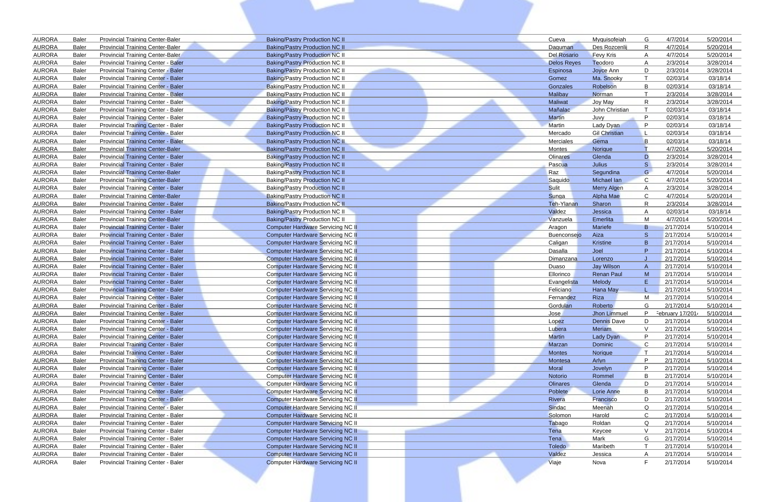| <b>AURORA</b>                  | <b>Baler</b>          | <b>Provincial Training Center-Baler</b>                                                | <b>Baking/Pastry Production NC II</b>                                         | Cueva              | Myquisofeiah          | G            | 4/7/2014               | 5/20/2014              |
|--------------------------------|-----------------------|----------------------------------------------------------------------------------------|-------------------------------------------------------------------------------|--------------------|-----------------------|--------------|------------------------|------------------------|
| <b>AURORA</b>                  | <b>Baler</b>          | <b>Provincial Training Center-Baler</b>                                                | <b>Baking/Pastry Production NC II</b>                                         | Daguman            | Des Rozcenlij         | R            | 4/7/2014               | 5/20/2014              |
| <b>AURORA</b>                  | <b>Baler</b>          | <b>Provincial Training Center-Baler</b>                                                | <b>Baking/Pastry Production NC II</b>                                         | Del Rosario        | <b>Fevy Kris</b>      | A            | 4/7/2014               | 5/20/2014              |
| <b>AURORA</b>                  | <b>Baler</b>          | <b>Provincial Training Center - Baler</b>                                              | <b>Baking/Pastry Production NC II</b>                                         | <b>Delos Reyes</b> | Teodoro               | A            | 2/3/2014               | 3/28/2014              |
| <b>AURORA</b>                  | <b>Baler</b>          | <b>Provincial Training Center - Baler</b>                                              | <b>Baking/Pastry Production NC II</b>                                         | Espinosa           | Joyce Ann             | D            | 2/3/2014               | 3/28/2014              |
| <b>AURORA</b>                  | <b>Baler</b>          | <b>Provincial Training Center - Baler</b>                                              | Baking/Pastry Production NC II                                                | Gomez              | Ma. Snooky            |              | 02/03/14               | 03/18/14               |
| <b>AURORA</b>                  | <b>Baler</b>          | <b>Provincial Training Center - Baler</b>                                              | <b>Baking/Pastry Production NC II</b>                                         | Gonzales           | Robelson              | B            | 02/03/14               | 03/18/14               |
| <b>AURORA</b>                  | Baler                 | <b>Provincial Training Center - Baler</b>                                              | Baking/Pastry Production NC II                                                | Malibay            | Norman                |              | 2/3/2014               | 3/28/2014              |
| <b>AURORA</b>                  | Baler                 | Provincial Training Center - Baler                                                     | <b>Baking/Pastry Production NC II</b>                                         | <b>Maliwat</b>     | Joy May               | R            | 2/3/2014               | 3/28/2014              |
| <b>AURORA</b>                  | Baler                 | Provincial Training Center - Baler                                                     | <b>Baking/Pastry Production NC II</b>                                         | Mañalac            | John Christian        |              | 02/03/14               | 03/18/14               |
| <b>AURORA</b>                  | Baler                 | Provincial Training Center - Baler                                                     | Baking/Pastry Production NC II                                                | <b>Martin</b>      | Juvy                  | P            | 02/03/14               | 03/18/14               |
| <b>AURORA</b>                  | Baler                 | Provincial Training Center - Baler                                                     | <b>Baking/Pastry Production NC II</b>                                         | <b>Martin</b>      | Lady Dyan             | P            | 02/03/14               | 03/18/14               |
| <b>AURORA</b>                  | <b>Baler</b>          | <b>Provincial Training Center - Baler</b>                                              | <b>Baking/Pastry Production NC II</b>                                         | Mercado            | <b>Gil Christian</b>  |              | 02/03/14               | 03/18/14               |
| <b>AURORA</b>                  | <b>Baler</b>          | <b>Provincial Training Center - Baler</b>                                              | <b>Baking/Pastry Production NC II</b>                                         | Merciales          | Gema                  | B            | 02/03/14               | 03/18/14               |
| <b>AURORA</b>                  | <b>Baler</b>          | <b>Provincial Training Center-Baler</b>                                                | <b>Baking/Pastry Production NC II</b>                                         | Montes             | Norique               |              | 4/7/2014               | 5/20/2014              |
| <b>AURORA</b>                  | Baler                 | <b>Provincial Training Center - Baler</b>                                              | <b>Baking/Pastry Production NC II</b>                                         | Olinares           | Glenda                | D            | 2/3/2014               | 3/28/2014              |
| <b>AURORA</b>                  | <b>Baler</b>          | <b>Provincial Training Center - Baler</b>                                              | <b>Baking/Pastry Production NC II</b>                                         | Pascua             | Julius                | S.           | 2/3/2014               | 3/28/2014              |
| <b>AURORA</b>                  | <b>Baler</b>          | <b>Provincial Training Center-Baler</b>                                                | <b>Baking/Pastry Production NC II</b>                                         | Raz                | Segundina             | G            | 4/7/2014               | 5/20/2014              |
| <b>AURORA</b>                  | <b>Baler</b>          | <b>Provincial Training Center-Baler</b>                                                | <b>Baking/Pastry Production NC II</b>                                         | Saquido            | Michael Ian           | $\mathsf{C}$ | 4/7/2014               | 5/20/2014              |
| <b>AURORA</b>                  | Baler                 | <b>Provincial Training Center - Baler</b>                                              | <b>Baking/Pastry Production NC II</b>                                         | <b>Sulit</b>       | <b>Merry Algen</b>    | A            | 2/3/2014               | 3/28/2014              |
| <b>AURORA</b>                  | <b>Baler</b>          | <b>Provincial Training Center-Baler</b>                                                | <b>Baking/Pastry Production NC II</b>                                         | Sunga              | Alpha Mae             | C            | 4/7/2014               | 5/20/2014              |
| <b>AURORA</b>                  | Baler                 | Provincial Training Center - Baler                                                     | <b>Baking/Pastry Production NC II</b>                                         | Teh-Ylanan         | Sharon                | R            | 2/3/2014               | 3/28/2014              |
| <b>AURORA</b>                  | <b>Baler</b>          | <b>Provincial Training Center - Baler</b>                                              | Baking/Pastry Production NC II                                                | Valdez             | Jessica               | A            | 02/03/14               | 03/18/14               |
| <b>AURORA</b>                  | <b>Baler</b>          | <b>Provincial Training Center-Baler</b>                                                | Baking/Pastry Production NC II                                                | Vanzuela           | Emerlita              | M            | 4/7/2014               | 5/20/2014              |
| <b>AURORA</b>                  | Baler                 | <b>Provincial Training Center - Baler</b>                                              | <b>Computer Hardware Servicing NC II</b>                                      | Aragon             | <b>Mariefe</b>        | B            | 2/17/2014              | 5/10/2014              |
| <b>AURORA</b>                  | Baler                 | <b>Provincial Training Center - Baler</b>                                              | <b>Computer Hardware Servicing NC II</b>                                      | <b>Buenconsejo</b> | Aiza                  | <sub>S</sub> | 2/17/2014              | 5/10/2014              |
| <b>AURORA</b><br><b>AURORA</b> | Baler<br><b>Baler</b> | <b>Provincial Training Center - Baler</b>                                              | <b>Computer Hardware Servicing NC II</b><br>Computer Hardware Servicing NC II | Caligan<br>Dasalla | Kristine<br>Joel      | B.<br>P      | 2/17/2014<br>2/17/2014 | 5/10/2014<br>5/10/2014 |
| <b>AURORA</b>                  | Baler                 | <b>Provincial Training Center - Baler</b>                                              | <b>Computer Hardware Servicing NC II</b>                                      |                    |                       |              | 2/17/2014              | 5/10/2014              |
| <b>AURORA</b>                  | Baler                 | <b>Provincial Training Center - Baler</b><br><b>Provincial Training Center - Baler</b> | <b>Computer Hardware Servicing NC II</b>                                      | Dimanzana<br>Duaso | Lorenzo<br>Jay Wilson | A            | 2/17/2014              | 5/10/2014              |
| <b>AURORA</b>                  | <b>Baler</b>          | <b>Provincial Training Center - Baler</b>                                              | <b>Computer Hardware Servicing NC II</b>                                      | Ellorinco          | <b>Renan Paul</b>     | M            | 2/17/2014              | 5/10/2014              |
| <b>AURORA</b>                  | <b>Baler</b>          | <b>Provincial Training Center - Baler</b>                                              | <b>Computer Hardware Servicing NC II</b>                                      | Evangelista        | Melody                | Ε            | 2/17/2014              | 5/10/2014              |
| <b>AURORA</b>                  | <b>Baler</b>          | <b>Provincial Training Center - Baler</b>                                              | <b>Computer Hardware Servicing NC II</b>                                      | Feliciano          | <b>Hana May</b>       |              | 2/17/2014              | 5/10/2014              |
| <b>AURORA</b>                  | <b>Baler</b>          | <b>Provincial Training Center - Baler</b>                                              | <b>Computer Hardware Servicing NC II</b>                                      | Fernandez          | <b>Riza</b>           | M            | 2/17/2014              | 5/10/2014              |
| <b>AURORA</b>                  | <b>Baler</b>          | <b>Provincial Training Center - Baler</b>                                              | <b>Computer Hardware Servicing NC II</b>                                      | Gordulan           | Roberto               | G            | 2/17/2014              | 5/10/2014              |
| <b>AURORA</b>                  | <b>Baler</b>          | <b>Provincial Training Center - Baler</b>                                              | <b>Computer Hardware Servicing NC II</b>                                      | Jose               | Jhon Limmuel          | P            | February 17/2014       | 5/10/2014              |
| <b>AURORA</b>                  | Baler                 | <b>Provincial Training Center - Baler</b>                                              | <b>Computer Hardware Servicing NC II</b>                                      | Lopez              | <b>Dennis Dave</b>    | D            | 2/17/2014              | 5/10/2014              |
| <b>AURORA</b>                  | Baler                 | <b>Provincial Training Center - Baler</b>                                              | <b>Computer Hardware Servicing NC II</b>                                      | Lubera             | Meriam                | $\vee$       | 2/17/2014              | 5/10/2014              |
| <b>AURORA</b>                  | <b>Baler</b>          | <b>Provincial Training Center - Baler</b>                                              | <b>Computer Hardware Servicing NC II</b>                                      | <b>Martin</b>      | Lady Dyan             | P            | 2/17/2014              | 5/10/2014              |
| <b>AURORA</b>                  | <b>Baler</b>          | Provincial Training Center - Baler                                                     | <b>Computer Hardware Servicing NC II</b>                                      | Marzan             | Dominic               | C            | 2/17/2014              | 5/10/2014              |
| <b>AURORA</b>                  | Baler                 | <b>Provincial Training Center - Baler</b>                                              | <b>Computer Hardware Servicing NC II</b>                                      | <b>Montes</b>      | Norique               | T            | 2/17/2014              | 5/10/2014              |
| <b>AURORA</b>                  | Baler                 | <b>Provincial Training Center - Baler</b>                                              | <b>Computer Hardware Servicing NC II</b>                                      | Montesa            | Arlyn                 | P            | 2/17/2014              | 5/10/2014              |
| <b>AURORA</b>                  | <b>Baler</b>          | <b>Provincial Training Center - Baler</b>                                              | <b>Computer Hardware Servicing NC II</b>                                      | Moral              | Jovelyn               | P            | 2/17/2014              | 5/10/2014              |
| <b>AURORA</b>                  | <b>Baler</b>          | <b>Provincial Training Center - Baler</b>                                              | <b>Computer Hardware Servicing NC II</b>                                      | Notorio            | Rommel                | B            | 2/17/2014              | 5/10/2014              |
| <b>AURORA</b>                  | Baler                 | <b>Provincial Training Center - Baler</b>                                              | <b>Computer Hardware Servicing NC II</b>                                      | <b>Olinares</b>    | Glenda                | D            | 2/17/2014              | 5/10/2014              |
| <b>AURORA</b>                  | <b>Baler</b>          | <b>Provincial Training Center - Baler</b>                                              | <b>Computer Hardware Servicing NC II</b>                                      | Poblete            | <b>Lorie Anne</b>     | B            | 2/17/2014              | 5/10/2014              |
| <b>AURORA</b>                  | Baler                 | Provincial Training Center - Baler                                                     | <b>Computer Hardware Servicing NC II</b>                                      | Rivera             | Francisco             | D            | 2/17/2014              | 5/10/2014              |
| <b>AURORA</b>                  | Baler                 | Provincial Training Center - Baler                                                     | <b>Computer Hardware Servicing NC II</b>                                      | Sindac             | Meenah                | Q            | 2/17/2014              | 5/10/2014              |
| <b>AURORA</b>                  | Baler                 | Provincial Training Center - Baler                                                     | <b>Computer Hardware Servicing NC II</b>                                      | Solomon            | Harold                | C            | 2/17/2014              | 5/10/2014              |
| <b>AURORA</b>                  | Baler                 | Provincial Training Center - Baler                                                     | <b>Computer Hardware Servicing NC II</b>                                      | Tabago             | Roldan                | Q            | 2/17/2014              | 5/10/2014              |
| <b>AURORA</b>                  | Baler                 | Provincial Training Center - Baler                                                     | <b>Computer Hardware Servicing NC II</b>                                      | Tena               | Keycee                | $\vee$       | 2/17/2014              | 5/10/2014              |
| <b>AURORA</b>                  | <b>Baler</b>          | Provincial Training Center - Baler                                                     | <b>Computer Hardware Servicing NC II</b>                                      | Tena               | Mark                  | G            | 2/17/2014              | 5/10/2014              |
| <b>AURORA</b>                  | Baler                 | Provincial Training Center - Baler                                                     | Computer Hardware Servicing NC II                                             | Toledo             | Maribeth              |              | 2/17/2014              | 5/10/2014              |
| <b>AURORA</b>                  | Baler                 | Provincial Training Center - Baler                                                     | <b>Computer Hardware Servicing NC II</b>                                      | Valdez             | Jessica               | A            | 2/17/2014              | 5/10/2014              |
| <b>AURORA</b>                  | Baler                 | Provincial Training Center - Baler                                                     | <b>Computer Hardware Servicing NC II</b>                                      | Viaje              | Nova                  | F            | 2/17/2014              | 5/10/2014              |
|                                |                       |                                                                                        |                                                                               |                    |                       |              |                        |                        |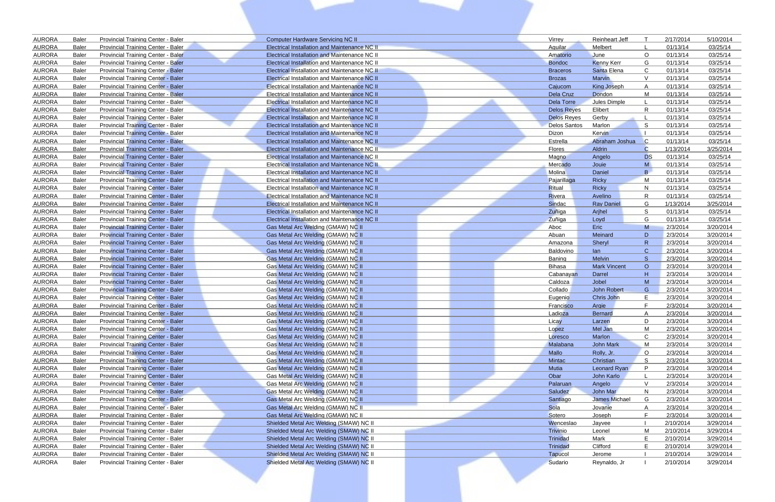| <b>AURORA</b>                  | <b>Baler</b>                 | <b>Provincial Training Center - Baler</b>                                              | <b>Computer Hardware Servicing NC II</b>                                 | Virrey              | <b>Reinheart Jeff</b> |              | 2/17/2014            | 5/10/2014              |
|--------------------------------|------------------------------|----------------------------------------------------------------------------------------|--------------------------------------------------------------------------|---------------------|-----------------------|--------------|----------------------|------------------------|
| <b>AURORA</b>                  | <b>Baler</b>                 | Provincial Training Center - Baler                                                     | Electrical Installation and Maintenance NC II                            | <b>Aguilar</b>      | Melbert               |              | 01/13/14             | 03/25/14               |
| <b>AURORA</b>                  | <b>Baler</b>                 | Provincial Training Center - Baler                                                     | Electrical Installation and Maintenance NC II                            | Amatorio            | June                  | $\circ$      | 01/13/14             | 03/25/14               |
| <b>AURORA</b>                  | <b>Baler</b>                 | <b>Provincial Training Center - Baler</b>                                              | Electrical Installation and Maintenance NC II                            | <b>Bondoc</b>       | <b>Kenny Kerr</b>     | G            | 01/13/14             | 03/25/14               |
| <b>AURORA</b>                  | <b>Baler</b>                 | <b>Provincial Training Center - Baler</b>                                              | Electrical Installation and Maintenance NC II                            | <b>Braceros</b>     | Santa Elena           | C            | 01/13/14             | 03/25/14               |
| <b>AURORA</b>                  | <b>Baler</b>                 | Provincial Training Center - Baler                                                     | <b>Electrical Installation and Maintenance NC II</b>                     | <b>Brozas</b>       | Marvin                | $\vee$       | 01/13/14             | 03/25/14               |
| <b>AURORA</b>                  | <b>Baler</b>                 | Provincial Training Center - Baler                                                     | <b>Electrical Installation and Maintenance NC II</b>                     | Cajucom             | <b>King Joseph</b>    |              | 01/13/14             | 03/25/14               |
| <b>AURORA</b>                  | <b>Baler</b>                 | <b>Provincial Training Center - Baler</b>                                              | Electrical Installation and Maintenance NC II                            | Dela Cruz           | Dondon                | M            | 01/13/14             | 03/25/14               |
| <b>AURORA</b>                  | <b>Baler</b>                 | Provincial Training Center - Baler                                                     | Electrical Installation and Maintenance NC II                            | Dela Torre          | Jules Dimple          |              | 01/13/14             | 03/25/14               |
| <b>AURORA</b>                  | <b>Baler</b>                 | Provincial Training Center - Baler                                                     | <b>Electrical Installation and Maintenance NC II</b>                     | <b>Delos Reyes</b>  | Elibert               | R            | 01/13/14             | 03/25/14               |
| <b>AURORA</b>                  | <b>Baler</b>                 | <b>Provincial Training Center - Baler</b>                                              | Electrical Installation and Maintenance NC II                            | <b>Delos Reyes</b>  | Gerby                 |              | 01/13/14             | 03/25/14               |
| <b>AURORA</b>                  | <b>Baler</b>                 | <b>Provincial Training Center - Baler</b>                                              | <b>Electrical Installation and Maintenance NC II</b>                     | <b>Delos Santos</b> | Marlon                | -S           | 01/13/14             | 03/25/14               |
| <b>AURORA</b>                  | <b>Baler</b>                 | <b>Provincial Training Center - Baler</b>                                              | <b>Electrical Installation and Maintenance NC II</b>                     | Dizon               | Kervin                |              | 01/13/14             | 03/25/14               |
| <b>AURORA</b>                  | <b>Baler</b>                 | <b>Provincial Training Center - Baler</b>                                              | <b>Electrical Installation and Maintenance NC II</b>                     | Estrella            | Abraham Joshua        | $\mathsf{C}$ | 01/13/14             | 03/25/14               |
| <b>AURORA</b>                  | <b>Baler</b>                 | <b>Provincial Training Center - Baler</b>                                              | Electrical Installation and Maintenance NC II                            | <b>Flores</b>       | Aldrin                | C            | 1/13/2014            | 3/25/2014              |
| <b>AURORA</b>                  | <b>Baler</b>                 | <b>Provincial Training Center - Baler</b>                                              | <b>Electrical Installation and Maintenance NC II</b>                     | Magno               | Angelo                | <b>DS</b>    | 01/13/14             | 03/25/14               |
| <b>AURORA</b>                  | <b>Baler</b>                 | <b>Provincial Training Center - Baler</b>                                              | Electrical Installation and Maintenance NC II                            | Mercado             | Jouie                 | M            | 01/13/14             | 03/25/14               |
| <b>AURORA</b>                  | <b>Baler</b>                 | <b>Provincial Training Center - Baler</b>                                              | Electrical Installation and Maintenance NC II                            | Molina              | Daniel                | B.           | 01/13/14             | 03/25/14               |
| <b>AURORA</b>                  | <b>Baler</b>                 | Provincial Training Center - Baler                                                     | Electrical Installation and Maintenance NC II                            | Pajarillaga         | <b>Ricky</b>          | M            | 01/13/14             | 03/25/14               |
| <b>AURORA</b>                  | <b>Baler</b>                 | <b>Provincial Training Center - Baler</b>                                              | Electrical Installation and Maintenance NC II                            | Ritual              | <b>Ricky</b>          | N            | 01/13/14             | 03/25/14               |
| <b>AURORA</b>                  | <b>Baler</b>                 | <b>Provincial Training Center - Baler</b>                                              | <b>Electrical Installation and Maintenance NC II</b>                     | Rivera              | Avelino               | R            | 01/13/14             | 03/25/14               |
| <b>AURORA</b>                  | <b>Baler</b>                 | Provincial Training Center - Baler                                                     | Electrical Installation and Maintenance NC II                            | Sindac              | <b>Ray Daniel</b>     | G            | 1/13/2014            | 3/25/2014              |
| <b>AURORA</b>                  | <b>Baler</b>                 | <b>Provincial Training Center - Baler</b>                                              | <b>Electrical Installation and Maintenance NC II</b>                     | Zuñiga              | Arjhel                | S            | 01/13/14             | 03/25/14               |
| <b>AURORA</b>                  | <b>Baler</b>                 | Provincial Training Center - Baler                                                     | Electrical Installation and Maintenance NC II                            | Zuñiga              | Loyd                  | G            | 01/13/14             | 03/25/14               |
| <b>AURORA</b>                  | <b>Baler</b>                 | <b>Provincial Training Center - Baler</b>                                              | Gas Metal Arc Welding (GMAW) NC II                                       | Aboc                | Eric                  | M            | 2/3/2014             | 3/20/2014              |
| <b>AURORA</b>                  | <b>Baler</b>                 | <b>Provincial Training Center - Baler</b>                                              | Gas Metal Arc Welding (GMAW) NC II                                       | Abuan               | Meinard               | D            | 2/3/2014             | 3/20/2014              |
| <b>AURORA</b>                  | <b>Baler</b>                 | Provincial Training Center - Baler                                                     | Gas Metal Arc Welding (GMAW) NC II                                       | Amazona             | Sheryl                | $\mathsf{R}$ | 2/3/2014             | 3/20/2014              |
| <b>AURORA</b>                  | <b>Baler</b>                 | <b>Provincial Training Center - Baler</b>                                              | Gas Metal Arc Welding (GMAW) NC II                                       | Baldovino           | lan                   | $\mathbf C$  | 2/3/2014             | 3/20/2014              |
| <b>AURORA</b>                  | <b>Baler</b>                 | <b>Provincial Training Center - Baler</b>                                              | Gas Metal Arc Welding (GMAW) NC II                                       | Baning              | Melvin                | <sub>S</sub> | 2/3/2014             | 3/20/2014              |
| <b>AURORA</b>                  | <b>Baler</b>                 | <b>Provincial Training Center - Baler</b>                                              | Gas Metal Arc Welding (GMAW) NC II                                       | Bihasa              | <b>Mark Vincent</b>   | $\circ$<br>H | 2/3/2014             | 3/20/2014              |
| <b>AURORA</b><br><b>AURORA</b> | <b>Baler</b>                 | <b>Provincial Training Center - Baler</b>                                              | Gas Metal Arc Welding (GMAW) NC II<br>Gas Metal Arc Welding (GMAW) NC II | Cabanayan           | Darrel<br>Jobel       | M            | 2/3/2014<br>2/3/2014 | 3/20/2014<br>3/20/2014 |
| <b>AURORA</b>                  | <b>Baler</b>                 | <b>Provincial Training Center - Baler</b><br><b>Provincial Training Center - Baler</b> | Gas Metal Arc Welding (GMAW) NC II                                       | Caldoza<br>Collado  | <b>John Robert</b>    |              | 2/3/2014             |                        |
| <b>AURORA</b>                  | <b>Baler</b><br><b>Baler</b> | <b>Provincial Training Center - Baler</b>                                              | Gas Metal Arc Welding (GMAW) NC II                                       | Eugenio             |                       | G            | 2/3/2014             | 3/20/2014<br>3/20/2014 |
| <b>AURORA</b>                  | Baler                        | <b>Provincial Training Center - Baler</b>                                              | Gas Metal Arc Welding (GMAW) NC II                                       | Francisco           | Chris John<br>Argie   |              | 2/3/2014             | 3/20/2014              |
| <b>AURORA</b>                  | Baler                        | <b>Provincial Training Center - Baler</b>                                              | Gas Metal Arc Welding (GMAW) NC II                                       | Ladioza             | <b>Bernard</b>        | A            | 2/3/2014             | 3/20/2014              |
| <b>AURORA</b>                  | Baler                        | <b>Provincial Training Center - Baler</b>                                              | Gas Metal Arc Welding (GMAW) NC II                                       | Licay               | Larzen                | D            | 2/3/2014             | 3/20/2014              |
| <b>AURORA</b>                  | Baler                        | <b>Provincial Training Center - Baler</b>                                              | Gas Metal Arc Welding (GMAW) NC II                                       | Lopez               | Mel Jan               | M            | 2/3/2014             | 3/20/2014              |
| <b>AURORA</b>                  | <b>Baler</b>                 | <b>Provincial Training Center - Baler</b>                                              | Gas Metal Arc Welding (GMAW) NC II                                       | Loresco             | Marlon                | C            | 2/3/2014             | 3/20/2014              |
| <b>AURORA</b>                  | <b>Baler</b>                 | Provincial Training Center - Baler                                                     | Gas Metal Arc Welding (GMAW) NC II                                       | Malabana            | John Mark             | M            | 2/3/2014             | 3/20/2014              |
| <b>AURORA</b>                  | Baler                        | <b>Provincial Training Center - Baler</b>                                              | Gas Metal Arc Welding (GMAW) NC II                                       | Mallo               | Rolly, Jr.            | $\circ$      | 2/3/2014             | 3/20/2014              |
| <b>AURORA</b>                  | Baler                        | <b>Provincial Training Center - Baler</b>                                              | Gas Metal Arc Welding (GMAW) NC II                                       | Mintac              | Christian             | S.           | 2/3/2014             | 3/20/2014              |
| <b>AURORA</b>                  | <b>Baler</b>                 | <b>Provincial Training Center - Baler</b>                                              | Gas Metal Arc Welding (GMAW) NC II                                       | <b>Mutia</b>        | Leonard Ryan          | P.           | 2/3/2014             | 3/20/2014              |
| <b>AURORA</b>                  | Baler                        | <b>Provincial Training Center - Baler</b>                                              | Gas Metal Arc Welding (GMAW) NC II                                       | Obar                | John Karlo            |              | 2/3/2014             | 3/20/2014              |
| <b>AURORA</b>                  | Baler                        | <b>Provincial Training Center - Baler</b>                                              | Gas Metal Arc Welding (GMAW) NC II                                       | Palaruan            | Angelo                | $\vee$       | 2/3/2014             | 3/20/2014              |
| <b>AURORA</b>                  | Baler                        | <b>Provincial Training Center - Baler</b>                                              | Gas Metal Arc Welding (GMAW) NC II                                       | Saludez             | John Mar              | N.           | 2/3/2014             | 3/20/2014              |
| <b>AURORA</b>                  | Baler                        | <b>Provincial Training Center - Baler</b>                                              | Gas Metal Arc Welding (GMAW) NC II                                       | Santiago            | James Michael         | G            | 2/3/2014             | 3/20/2014              |
| <b>AURORA</b>                  | <b>Baler</b>                 | Provincial Training Center - Baler                                                     | Gas Metal Arc Welding (GMAW) NC II                                       | Sola                | Jovanie               | A            | 2/3/2014             | 3/20/2014              |
| <b>AURORA</b>                  | Baler                        | <b>Provincial Training Center - Baler</b>                                              | Gas Metal Arc Welding (GMAW) NC II                                       | Sotero              | Joseph                | F            | 2/3/2014             | 3/20/2014              |
| <b>AURORA</b>                  | Baler                        | <b>Provincial Training Center - Baler</b>                                              | Shielded Metal Arc Welding (SMAW) NC II                                  | Wenceslao           | Jayvee                |              | 2/10/2014            | 3/29/2014              |
| <b>AURORA</b>                  | Baler                        | <b>Provincial Training Center - Baler</b>                                              | Shielded Metal Arc Welding (SMAW) NC II                                  | Trivinio            | Leonel                | M            | 2/10/2014            | 3/29/2014              |
| <b>AURORA</b>                  | Baler                        | <b>Provincial Training Center - Baler</b>                                              | Shielded Metal Arc Welding (SMAW) NC II                                  | Trinidad            | Mark                  | Е            | 2/10/2014            | 3/29/2014              |
| <b>AURORA</b>                  | Baler                        | <b>Provincial Training Center - Baler</b>                                              | Shielded Metal Arc Welding (SMAW) NC II                                  | Trinidad            | Clifford              | Е            | 2/10/2014            | 3/29/2014              |
| <b>AURORA</b>                  | Baler                        | <b>Provincial Training Center - Baler</b>                                              | Shielded Metal Arc Welding (SMAW) NC II                                  | Tapucol             | Jerome                |              | 2/10/2014            | 3/29/2014              |
| <b>AURORA</b>                  | Baler                        | Provincial Training Center - Baler                                                     | Shielded Metal Arc Welding (SMAW) NC II                                  | Sudario             | Reynaldo, Jr          |              | 2/10/2014            | 3/29/2014              |
|                                |                              |                                                                                        |                                                                          |                     |                       |              |                      |                        |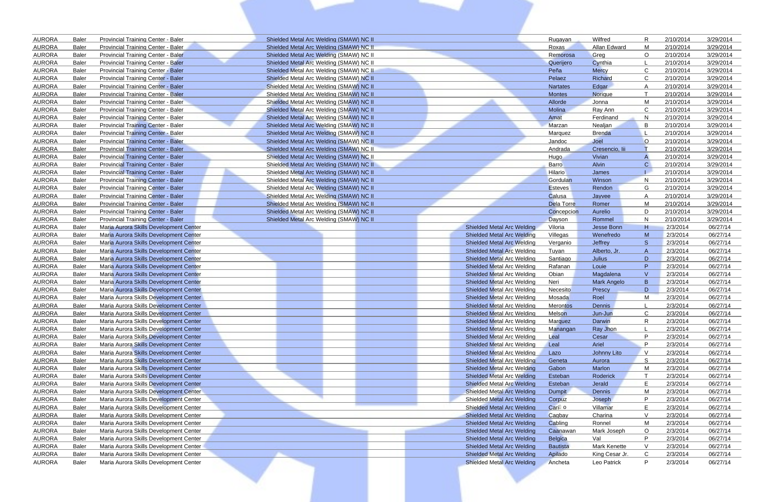| <b>AURORA</b>                  | <b>Baler</b>                 | Provincial Training Center - Baler                                               | Shielded Metal Arc Welding (SMAW) NC II |                                                                        | Rugayan           | Wilfred              | R.             | 2/10/2014            | 3/29/2014            |
|--------------------------------|------------------------------|----------------------------------------------------------------------------------|-----------------------------------------|------------------------------------------------------------------------|-------------------|----------------------|----------------|----------------------|----------------------|
| <b>AURORA</b>                  | Baler                        | Provincial Training Center - Baler                                               | Shielded Metal Arc Welding (SMAW) NC II |                                                                        | Roxas             | Allan Edward         | M              | 2/10/2014            | 3/29/2014            |
| <b>AURORA</b>                  | <b>Baler</b>                 | Provincial Training Center - Baler                                               | Shielded Metal Arc Welding (SMAW) NC II |                                                                        | Remorosa          | Greg                 | $\circ$        | 2/10/2014            | 3/29/2014            |
| <b>AURORA</b>                  | Baler                        | <b>Provincial Training Center - Baler</b>                                        | Shielded Metal Arc Welding (SMAW) NC II |                                                                        | Querijero         | Cynthia              |                | 2/10/2014            | 3/29/2014            |
| <b>AURORA</b>                  | <b>Baler</b>                 | Provincial Training Center - Baler                                               | Shielded Metal Arc Welding (SMAW) NC II |                                                                        | Peña              | <b>Mercy</b>         | C              | 2/10/2014            | 3/29/2014            |
| <b>AURORA</b>                  | <b>Baler</b>                 | <b>Provincial Training Center - Baler</b>                                        | Shielded Metal Arc Welding (SMAW) NC II |                                                                        | Pelaez            | Richard              | C              | 2/10/2014            | 3/29/2014            |
| <b>AURORA</b>                  | <b>Baler</b>                 | <b>Provincial Training Center - Baler</b>                                        | Shielded Metal Arc Welding (SMAW) NC II |                                                                        | <b>Nartates</b>   | Edgar                |                | 2/10/2014            | 3/29/2014            |
| <b>AURORA</b>                  | Baler                        | <b>Provincial Training Center - Baler</b>                                        | Shielded Metal Arc Welding (SMAW) NC II |                                                                        | <b>Montes</b>     | Norique              |                | 2/10/2014            | 3/29/2014            |
| <b>AURORA</b>                  | Baler                        | Provincial Training Center - Baler                                               | Shielded Metal Arc Welding (SMAW) NC II |                                                                        | Allorde           | Jonna                | M              | 2/10/2014            | 3/29/2014            |
| <b>AURORA</b>                  | Baler                        | Provincial Training Center - Baler                                               | Shielded Metal Arc Welding (SMAW) NC II |                                                                        | Molina            | Ray Ann              | <sub>C</sub>   | 2/10/2014            | 3/29/2014            |
| <b>AURORA</b>                  | Baler                        | Provincial Training Center - Baler                                               | Shielded Metal Arc Welding (SMAW) NC II |                                                                        | Amat              | Ferdinand            | N.             | 2/10/2014            | 3/29/2014            |
| <b>AURORA</b>                  | Baler                        | Provincial Training Center - Baler                                               | Shielded Metal Arc Welding (SMAW) NC II |                                                                        | Marzan            | Nealjan              | -B             | 2/10/2014            | 3/29/2014            |
| <b>AURORA</b>                  | Baler                        | <b>Provincial Training Center - Baler</b>                                        | Shielded Metal Arc Welding (SMAW) NC II |                                                                        | Marquez           | <b>Brenda</b>        |                | 2/10/2014            | 3/29/2014            |
| <b>AURORA</b>                  | <b>Baler</b>                 | <b>Provincial Training Center - Baler</b>                                        | Shielded Metal Arc Welding (SMAW) NC II |                                                                        | Jandoc            | Joel                 | $\circ$        | 2/10/2014            | 3/29/2014            |
| <b>AURORA</b>                  | <b>Baler</b>                 | <b>Provincial Training Center - Baler</b>                                        | Shielded Metal Arc Welding (SMAW) NC II |                                                                        | Andrada           | Cresencio, lii       |                | 2/10/2014            | 3/29/2014            |
| <b>AURORA</b>                  | Baler                        | <b>Provincial Training Center - Baler</b>                                        | Shielded Metal Arc Welding (SMAW) NC II |                                                                        | Hugo              | Vivian               |                | 2/10/2014            | 3/29/2014            |
| <b>AURORA</b>                  | Baler                        | <b>Provincial Training Center - Baler</b>                                        | Shielded Metal Arc Welding (SMAW) NC II |                                                                        | <b>Barro</b>      | Alvin                | C              | 2/10/2014            | 3/29/2014            |
| <b>AURORA</b>                  | Baler                        | <b>Provincial Training Center - Baler</b>                                        | Shielded Metal Arc Welding (SMAW) NC II |                                                                        | <b>Hilario</b>    | James                |                | 2/10/2014            | 3/29/2014            |
| <b>AURORA</b>                  | <b>Baler</b>                 | <b>Provincial Training Center - Baler</b>                                        | Shielded Metal Arc Welding (SMAW) NC II |                                                                        | Gordulan          | Winson               | N              | 2/10/2014            | 3/29/2014            |
| <b>AURORA</b>                  | Baler                        | <b>Provincial Training Center - Baler</b>                                        | Shielded Metal Arc Welding (SMAW) NC II |                                                                        | <b>Esteves</b>    | Rendon               | G              | 2/10/2014            | 3/29/2014            |
| <b>AURORA</b>                  | <b>Baler</b>                 | <b>Provincial Training Center - Baler</b>                                        | Shielded Metal Arc Welding (SMAW) NC II |                                                                        | Calusa            | Jayvee               |                | 2/10/2014            | 3/29/2014            |
| <b>AURORA</b>                  | <b>Baler</b>                 | <b>Provincial Training Center - Baler</b>                                        | Shielded Metal Arc Welding (SMAW) NC II |                                                                        | Dela Torre        | Romer                | M              | 2/10/2014            | 3/29/2014            |
| <b>AURORA</b>                  | <b>Baler</b>                 | <b>Provincial Training Center - Baler</b>                                        | Shielded Metal Arc Welding (SMAW) NC II |                                                                        | Concepcion        | Aurelio              | D<br>N         | 2/10/2014            | 3/29/2014            |
| <b>AURORA</b>                  | <b>Baler</b>                 | <b>Provincial Training Center - Baler</b>                                        | Shielded Metal Arc Welding (SMAW) NC II |                                                                        | Dayson            | Rommel               |                | 2/10/2014            | 3/29/2014            |
| <b>AURORA</b><br><b>AURORA</b> | <b>Baler</b><br><b>Baler</b> | Maria Aurora Skills Development Center                                           |                                         | <b>Shielded Metal Arc Welding</b>                                      | Viloria           | Jesse Bonn           | н<br>M         | 2/3/2014<br>2/3/2014 | 06/27/14<br>06/27/14 |
| <b>AURORA</b>                  | Baler                        | Maria Aurora Skills Development Center                                           |                                         | <b>Shielded Metal Arc Welding</b><br><b>Shielded Metal Arc Welding</b> | Villegas          | Wenefredo<br>Jeffrey | <sub>S</sub>   | 2/3/2014             | 06/27/14             |
| <b>AURORA</b>                  | <b>Baler</b>                 | Maria Aurora Skills Development Center<br>Maria Aurora Skills Development Center |                                         | <b>Shielded Metal Arc Welding</b>                                      | Verganio<br>Tuyan | Alberto, Jr.         | $\overline{A}$ | 2/3/2014             | 06/27/14             |
| <b>AURORA</b>                  | Baler                        | Maria Aurora Skills Development Center                                           |                                         | Shielded Metal Arc Welding                                             | Santiago          | Julius               | D              | 2/3/2014             | 06/27/14             |
| <b>AURORA</b>                  | <b>Baler</b>                 | Maria Aurora Skills Development Center                                           |                                         | <b>Shielded Metal Arc Welding</b>                                      | Rafanan           | Louie                | P              | 2/3/2014             | 06/27/14             |
| <b>AURORA</b>                  | <b>Baler</b>                 | Maria Aurora Skills Development Center                                           |                                         | <b>Shielded Metal Arc Welding</b>                                      | Obian             | Magdalena            | $\vee$         | 2/3/2014             | 06/27/14             |
| <b>AURORA</b>                  | <b>Baler</b>                 | Maria Aurora Skills Development Center                                           |                                         | <b>Shielded Metal Arc Welding</b>                                      | <b>Neri</b>       | <b>Mark Angelo</b>   | B              | 2/3/2014             | 06/27/14             |
| <b>AURORA</b>                  | <b>Baler</b>                 | Maria Aurora Skills Development Center                                           |                                         | <b>Shielded Metal Arc Welding</b>                                      | Necesito          | Prescy               | D              | 2/3/2014             | 06/27/14             |
| <b>AURORA</b>                  | <b>Baler</b>                 | Maria Aurora Skills Development Center                                           |                                         | <b>Shielded Metal Arc Welding</b>                                      | Mosada            | Roel                 | M              | 2/3/2014             | 06/27/14             |
| <b>AURORA</b>                  | Baler                        | Maria Aurora Skills Development Center                                           |                                         | <b>Shielded Metal Arc Welding</b>                                      | Merontos          | <b>Dennis</b>        |                | 2/3/2014             | 06/27/14             |
| <b>AURORA</b>                  | Baler                        | Maria Aurora Skills Development Center                                           |                                         | <b>Shielded Metal Arc Welding</b>                                      | Melson            | Jun-Jun              | C              | 2/3/2014             | 06/27/14             |
| <b>AURORA</b>                  | Baler                        | Maria Aurora Skills Development Center                                           |                                         | <b>Shielded Metal Arc Welding</b>                                      | Marquez           | Darwin               | R              | 2/3/2014             | 06/27/14             |
| <b>AURORA</b>                  | Baler                        | Maria Aurora Skills Development Center                                           |                                         | <b>Shielded Metal Arc Welding</b>                                      | Manangan          | Ray Jhon             |                | 2/3/2014             | 06/27/14             |
| <b>AURORA</b>                  | <b>Baler</b>                 | Maria Aurora Skills Development Center                                           |                                         | <b>Shielded Metal Arc Welding</b>                                      | Leal              | Cesar                | P              | 2/3/2014             | 06/27/14             |
| <b>AURORA</b>                  | <b>Baler</b>                 | Maria Aurora Skills Development Center                                           |                                         | <b>Shielded Metal Arc Welding</b>                                      | Leal              | Ariel                | P              | 2/3/2014             | 06/27/14             |
| <b>AURORA</b>                  | Baler                        | Maria Aurora Skills Development Center                                           |                                         | <b>Shielded Metal Arc Welding</b>                                      | Lazo              | Johnny Lito          | $\vee$         | 2/3/2014             | 06/27/14             |
| <b>AURORA</b>                  | Baler                        | Maria Aurora Skills Development Center                                           |                                         | <b>Shielded Metal Arc Welding</b>                                      | Geneta            | Aurora               | S.             | 2/3/2014             | 06/27/14             |
| <b>AURORA</b>                  | Baler                        | Maria Aurora Skills Development Center                                           |                                         | <b>Shielded Metal Arc Welding</b>                                      | Gabon             | Marlon               | M              | 2/3/2014             | 06/27/14             |
| <b>AURORA</b>                  | Baler                        | Maria Aurora Skills Development Center                                           |                                         | <b>Shielded Metal Arc Welding</b>                                      | Esteban           | Roderick             |                | 2/3/2014             | 06/27/14             |
| <b>AURORA</b>                  | Baler                        | Maria Aurora Skills Development Center                                           |                                         | <b>Shielded Metal Arc Welding</b>                                      | Esteban           | Jerald               | E              | 2/3/2014             | 06/27/14             |
| <b>AURORA</b>                  | <b>Baler</b>                 | Maria Aurora Skills Development Center                                           |                                         | <b>Shielded Metal Arc Welding</b>                                      | Dumpit            | Dennis               | M              | 2/3/2014             | 06/27/14             |
| <b>AURORA</b>                  | Baler                        | Maria Aurora Skills Development Center                                           |                                         | Shielded Metal Arc Welding                                             | Corpuz            | Joseph               | P              | 2/3/2014             | 06/27/14             |
| <b>AURORA</b>                  | <b>Baler</b>                 | Maria Aurora Skills Development Center                                           |                                         | <b>Shielded Metal Arc Welding</b>                                      | Cari o            | Villamar             | E              | 2/3/2014             | 06/27/14             |
| <b>AURORA</b>                  | Baler                        | Maria Aurora Skills Development Center                                           |                                         | <b>Shielded Metal Arc Welding</b>                                      | Cagbay            | Charina              | $\vee$         | 2/3/2014             | 06/27/14             |
| <b>AURORA</b>                  | Baler                        | Maria Aurora Skills Development Center                                           |                                         | <b>Shielded Metal Arc Welding</b>                                      | Cabling           | Ronnel               | M              | 2/3/2014             | 06/27/14             |
| <b>AURORA</b>                  | Baler                        | Maria Aurora Skills Development Center                                           |                                         | <b>Shielded Metal Arc Welding</b>                                      | Caanawan          | Mark Joseph          | $\circ$        | 2/3/2014             | 06/27/14             |
| <b>AURORA</b>                  | Baler                        | Maria Aurora Skills Development Center                                           |                                         | <b>Shielded Metal Arc Welding</b>                                      | <b>Belgica</b>    | Val                  | P              | 2/3/2014             | 06/27/14             |
| <b>AURORA</b>                  | Baler                        | Maria Aurora Skills Development Center                                           |                                         | <b>Shielded Metal Arc Welding</b>                                      | Bautista          | Mark Kenette         | $\vee$         | 2/3/2014             | 06/27/14             |
| <b>AURORA</b>                  | Baler                        | Maria Aurora Skills Development Center                                           |                                         | <b>Shielded Metal Arc Welding</b>                                      | Apilado           | King Cesar Jr.       | C              | 2/3/2014             | 06/27/14             |
| <b>AURORA</b>                  | Baler                        | Maria Aurora Skills Development Center                                           |                                         | <b>Shielded Metal Arc Welding</b>                                      | Ancheta           | Leo Patrick          | P              | 2/3/2014             | 06/27/14             |
|                                |                              |                                                                                  |                                         |                                                                        |                   |                      |                |                      |                      |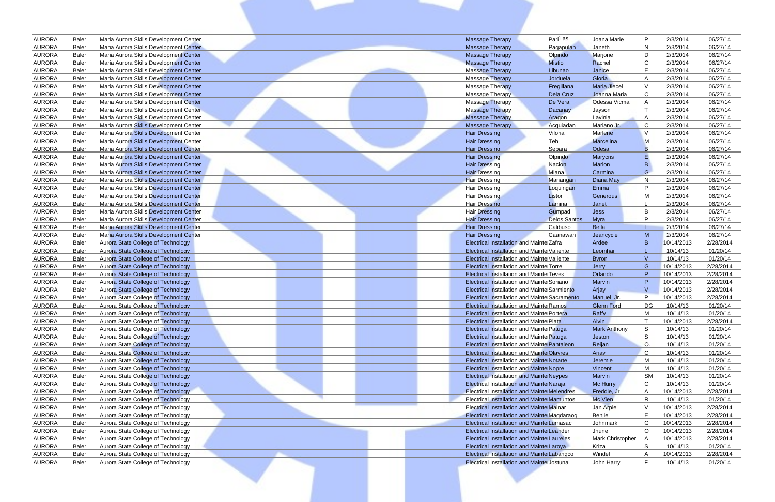|                                |                       |                                                                                  |                                                      |                          |                               | P              |                      |                      |
|--------------------------------|-----------------------|----------------------------------------------------------------------------------|------------------------------------------------------|--------------------------|-------------------------------|----------------|----------------------|----------------------|
| <b>AURORA</b><br><b>AURORA</b> | <b>Baler</b><br>Baler | Maria Aurora Skills Development Center                                           | <b>Massage Therapy</b>                               | Pari as                  | Joana Marie                   | N              | 2/3/2014<br>2/3/2014 | 06/27/14<br>06/27/14 |
| <b>AURORA</b>                  | Baler                 | Maria Aurora Skills Development Center                                           | <b>Massage Therapy</b>                               | Pagapulan                | Janeth                        | D              | 2/3/2014             | 06/27/14             |
| <b>AURORA</b>                  | Baler                 | Maria Aurora Skills Development Center                                           | <b>Massage Therapy</b>                               | Olpindo<br><b>Mistio</b> | Marjorie<br>Rachel            | $\mathsf{C}$   |                      | 06/27/14             |
| <b>AURORA</b>                  | Baler                 | Maria Aurora Skills Development Center                                           | <b>Massage Therapy</b><br><b>Massage Therapy</b>     |                          | Janice                        | E              | 2/3/2014<br>2/3/2014 | 06/27/14             |
| <b>AURORA</b>                  | <b>Baler</b>          | Maria Aurora Skills Development Center                                           |                                                      | Libunao                  |                               |                |                      |                      |
| <b>AURORA</b>                  | <b>Baler</b>          | Maria Aurora Skills Development Center<br>Maria Aurora Skills Development Center | Massage Therapy<br><b>Massage Therapy</b>            | Jorduela<br>Fregillana   | Gloria<br><b>Maria Jiecel</b> | $\mathsf{V}$   | 2/3/2014<br>2/3/2014 | 06/27/14<br>06/27/14 |
| <b>AURORA</b>                  | Baler                 |                                                                                  |                                                      |                          | Joanna Maria                  | C              |                      | 06/27/14             |
| <b>AURORA</b>                  | Baler                 | Maria Aurora Skills Development Center<br>Maria Aurora Skills Development Center | <b>Massage Therapy</b><br>Massage Therapy            | Dela Cruz<br>De Vera     | Odessa Vicma                  |                | 2/3/2014<br>2/3/2014 | 06/27/14             |
| <b>AURORA</b>                  | Baler                 | Maria Aurora Skills Development Center                                           | <b>Massage Therapy</b>                               | Dacanay                  | Jayson                        |                | 2/3/2014             | 06/27/14             |
| <b>AURORA</b>                  | Baler                 | Maria Aurora Skills Development Center                                           | <b>Massage Therapy</b>                               | Aragon                   | Lavinia                       |                | 2/3/2014             | 06/27/14             |
| <b>AURORA</b>                  | Baler                 | Maria Aurora Skills Development Center                                           | <b>Massage Therapy</b>                               | Acquiadan                | Mariano Jr.                   | C.             | 2/3/2014             | 06/27/14             |
| <b>AURORA</b>                  | Baler                 | Maria Aurora Skills Development Center                                           | <b>Hair Dressing</b>                                 | Viloria                  | Marlene                       | $\mathcal{V}$  | 2/3/2014             | 06/27/14             |
| <b>AURORA</b>                  | Baler                 | Maria Aurora Skills Development Center                                           | <b>Hair Dressing</b>                                 | <b>Teh</b>               | Marcelina                     | M              | 2/3/2014             | 06/27/14             |
| <b>AURORA</b>                  | Baler                 | Maria Aurora Skills Development Center                                           | <b>Hair Dressing</b>                                 | <b>Separa</b>            | Odesa                         | B              | 2/3/2014             | 06/27/14             |
| <b>AURORA</b>                  | Baler                 | Maria Aurora Skills Development Center                                           | <b>Hair Dressing</b>                                 | Olpindo                  | <b>Marycris</b>               |                | 2/3/2014             | 06/27/14             |
| <b>AURORA</b>                  | Baler                 | Maria Aurora Skills Development Center                                           | <b>Hair Dressing</b>                                 | Nacion                   | Marlon                        | B              | 2/3/2014             | 06/27/14             |
| <b>AURORA</b>                  | <b>Baler</b>          | Maria Aurora Skills Development Center                                           | <b>Hair Dressing</b>                                 | Miana                    | Carmina                       | G              | 2/3/2014             | 06/27/14             |
| <b>AURORA</b>                  | Baler                 | Maria Aurora Skills Development Center                                           | <b>Hair Dressing</b>                                 | Manangan                 | Diana May                     | N              | 2/3/2014             | 06/27/14             |
| <b>AURORA</b>                  | Baler                 | Maria Aurora Skills Development Center                                           | <b>Hair Dressing</b>                                 | Loquingan                | Emma                          | P              | 2/3/2014             | 06/27/14             |
| <b>AURORA</b>                  | Baler                 | Maria Aurora Skills Development Center                                           | <b>Hair Dressing</b>                                 | Listor                   | Generous                      | M              | 2/3/2014             | 06/27/14             |
| <b>AURORA</b>                  | Baler                 | Maria Aurora Skills Development Center                                           | <b>Hair Dressing</b>                                 | Lamina                   | Janet                         |                | 2/3/2014             | 06/27/14             |
| <b>AURORA</b>                  | <b>Baler</b>          | Maria Aurora Skills Development Center                                           | <b>Hair Dressing</b>                                 | Gumpad                   | <b>Jess</b>                   | B              | 2/3/2014             | 06/27/14             |
| <b>AURORA</b>                  | <b>Baler</b>          | Maria Aurora Skills Development Center                                           | <b>Hair Dressing</b>                                 | <b>Delos Santos</b>      | Myra                          | P              | 2/3/2014             | 06/27/14             |
| <b>AURORA</b>                  | Baler                 | Maria Aurora Skills Development Center                                           | <b>Hair Dressing</b>                                 | Calibuso                 | <b>Bella</b>                  |                | 2/3/2014             | 06/27/14             |
| <b>AURORA</b>                  | Baler                 | Maria Aurora Skills Development Center                                           | <b>Hair Dressing</b>                                 | Caanawan                 | Jeancycie                     | M              | 2/3/2014             | 06/27/14             |
| <b>AURORA</b>                  | <b>Baler</b>          | Aurora State College of Technology                                               | <b>Electrical Installation and Mainte Zafra</b>      |                          | Ardee                         | B              | 10/14/2013           | 2/28/2014            |
| <b>AURORA</b>                  | <b>Baler</b>          | Aurora State College of Technology                                               | <b>Electrical Installation and Mainte Valiente</b>   |                          | Leomhar                       |                | 10/14/13             | 01/20/14             |
| <b>AURORA</b>                  | <b>Baler</b>          | Aurora State College of Technology                                               | <b>Electrical Installation and Mainte Valiente</b>   |                          | <b>Byron</b>                  | $\mathsf{V}$   | 10/14/13             | 01/20/14             |
| <b>AURORA</b>                  | <b>Baler</b>          | Aurora State College of Technology                                               | <b>Electrical Installation and Mainte Torre</b>      |                          | Jerry                         | G              | 10/14/2013           | 2/28/2014            |
| <b>AURORA</b>                  | <b>Baler</b>          | Aurora State College of Technology                                               | <b>Electrical Installation and Mainte Teves</b>      |                          | Orlando                       | P              | 10/14/2013           | 2/28/2014            |
| <b>AURORA</b>                  | Baler                 | <b>Aurora State College of Technology</b>                                        | <b>Electrical Installation and Mainte Soriano</b>    |                          | Marvin                        | P              | 10/14/2013           | 2/28/2014            |
| <b>AURORA</b>                  | <b>Baler</b>          | Aurora State College of Technology                                               | <b>Electrical Installation and Mainte Sarmiento</b>  |                          | Arjay                         | $\overline{M}$ | 10/14/2013           | 2/28/2014            |
| <b>AURORA</b>                  | <b>Baler</b>          | Aurora State College of Technology                                               | <b>Electrical Installation and Mainte Sacramento</b> |                          | Manuel, Jr.                   | P              | 10/14/2013           | 2/28/2014            |
| <b>AURORA</b>                  | Baler                 | Aurora State College of Technology                                               | <b>Electrical Installation and Mainte Ramos</b>      |                          | <b>Glenn Ford</b>             | DG             | 10/14/13             | 01/20/14             |
| <b>AURORA</b>                  | <b>Baler</b>          | Aurora State College of Technology                                               | <b>Electrical Installation and Mainte Portera</b>    |                          | Raffy                         | M              | 10/14/13             | 01/20/14             |
| <b>AURORA</b>                  | Baler                 | Aurora State College of Technology                                               | <b>Electrical Installation and Mainte Plata</b>      |                          | Alvin                         |                | 10/14/2013           | 2/28/2014            |
| <b>AURORA</b>                  | Baler                 | Aurora State College of Technology                                               | <b>Electrical Installation and Mainte Patuga</b>     |                          | <b>Mark Anthony</b>           | S.             | 10/14/13             | 01/20/14             |
| <b>AURORA</b>                  | <b>Baler</b>          | Aurora State College of Technology                                               | <b>Electrical Installation and Mainte Patuga</b>     |                          | Jestoni                       | S              | 10/14/13             | 01/20/14             |
| <b>AURORA</b>                  | Baler                 | Aurora State College of Technology                                               | <b>Electrical Installation and Mainte Pantaleon</b>  |                          | Reijan                        | $\circ$        | 10/14/13             | 01/20/14             |
| <b>AURORA</b>                  | Baler                 | Aurora State College of Technology                                               | <b>Electrical Installation and Mainte Olayres</b>    |                          | Arjay                         | $\mathsf{C}$   | 10/14/13             | 01/20/14             |
| <b>AURORA</b>                  | Baler                 | <b>Aurora State College of Technology</b>                                        | <b>Electrical Installation and Mainte Notarte</b>    |                          | Jeremie                       | M              | 10/14/13             | 01/20/14             |
| <b>AURORA</b>                  | <b>Baler</b>          | Aurora State College of Technology                                               | <b>Electrical Installation and Mainte Nopre</b>      |                          | Vincent                       | M              | 10/14/13             | 01/20/14             |
| <b>AURORA</b>                  | Baler                 | Aurora State College of Technology                                               | <b>Electrical Installation and Mainte Neypes</b>     |                          | Marvin                        | SM             | 10/14/13             | 01/20/14             |
| <b>AURORA</b>                  | Baler                 | <b>Aurora State College of Technology</b>                                        | <b>Electrical Installation and Mainte Naraja</b>     |                          | Mc Hurry                      | C              | 10/14/13             | 01/20/14             |
| <b>AURORA</b>                  | Baler                 | Aurora State College of Technology                                               | <b>Electrical Installation and Mainte Melendres</b>  |                          | Freddie, Jr                   | A              | 10/14/2013           | 2/28/2014            |
| <b>AURORA</b>                  | Baler                 | Aurora State College of Technology                                               | <b>Electrical Installation and Mainte Mamuntos</b>   |                          | <b>Mc Vien</b>                | R              | 10/14/13             | 01/20/14             |
| <b>AURORA</b>                  | Baler                 | Aurora State College of Technology                                               | <b>Electrical Installation and Mainte Mainar</b>     |                          | Jan Arpie                     | $\vee$         | 10/14/2013           | 2/28/2014            |
| <b>AURORA</b>                  | Baler                 | Aurora State College of Technology                                               | Electrical Installation and Mainte Magdaraog         |                          | Benjie                        | E              | 10/14/2013           | 2/28/2014            |
| <b>AURORA</b>                  | Baler                 | Aurora State College of Technology                                               | Electrical Installation and Mainte Lumasac           |                          | Johnmark                      | G              | 10/14/2013           | 2/28/2014            |
| <b>AURORA</b>                  | <b>Baler</b>          | Aurora State College of Technology                                               | <b>Electrical Installation and Mainte Leander</b>    |                          | Jhune                         | $\circ$        | 10/14/2013           | 2/28/2014            |
| <b>AURORA</b>                  | Baler                 | Aurora State College of Technology                                               | <b>Electrical Installation and Mainte Laureles</b>   |                          | Mark Christopher              | A              | 10/14/2013           | 2/28/2014            |
| <b>AURORA</b>                  | Baler                 | Aurora State College of Technology                                               | <b>Electrical Installation and Mainte Laroya</b>     |                          | Kriza                         | S              | 10/14/13             | 01/20/14             |
| <b>AURORA</b>                  | <b>Baler</b>          | Aurora State College of Technology                                               | Electrical Installation and Mainte Labangco          |                          | Windel                        | A              | 10/14/2013           | 2/28/2014            |
| <b>AURORA</b>                  | Baler                 | Aurora State College of Technology                                               | <b>Electrical Installation and Mainte Jostunal</b>   |                          | John Harry                    | F              | 10/14/13             | 01/20/14             |
|                                |                       |                                                                                  |                                                      |                          |                               |                |                      |                      |
|                                |                       |                                                                                  |                                                      |                          |                               |                |                      |                      |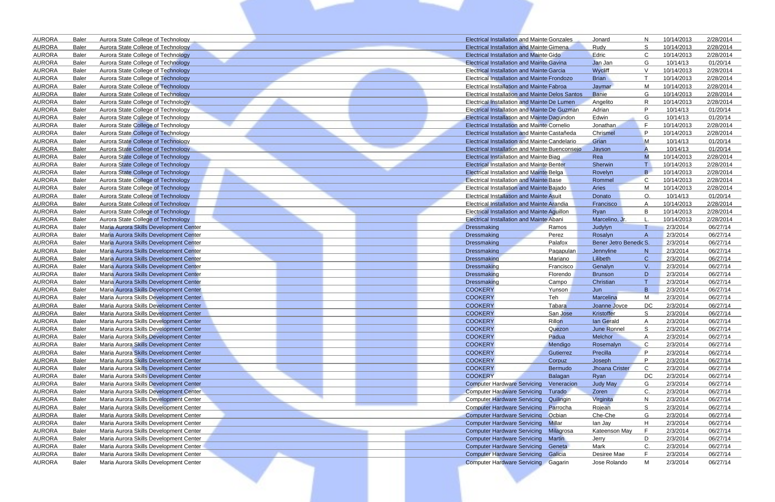| <b>AURORA</b>                  | <b>Baler</b>                 | Aurora State College of Technology                                               | <b>Electrical Installation and Mainte Gonzales</b>     |                       | Jonard                    | N                  | 10/14/2013           | 2/28/2014            |
|--------------------------------|------------------------------|----------------------------------------------------------------------------------|--------------------------------------------------------|-----------------------|---------------------------|--------------------|----------------------|----------------------|
| <b>AURORA</b>                  | <b>Baler</b>                 | Aurora State College of Technology                                               | <b>Electrical Installation and Mainte Gimena</b>       |                       | Rudy                      | S                  | 10/14/2013           | 2/28/2014            |
| <b>AURORA</b>                  | <b>Baler</b>                 | Aurora State College of Technology                                               | <b>Electrical Installation and Mainte Gido</b>         |                       | Edric                     | C                  | 10/14/2013           | 2/28/2014            |
| <b>AURORA</b>                  | <b>Baler</b>                 | Aurora State College of Technology                                               | <b>Electrical Installation and Mainte Gavina</b>       |                       | Jan Jan                   | G                  | 10/14/13             | 01/20/14             |
| <b>AURORA</b>                  | <b>Baler</b>                 | Aurora State College of Technology                                               | <b>Electrical Installation and Mainte Garcia</b>       |                       | Wycliff                   | V                  | 10/14/2013           | 2/28/2014            |
| <b>AURORA</b>                  | <b>Baler</b>                 | Aurora State College of Technology                                               | <b>Electrical Installation and Mainte Frondozo</b>     |                       | <b>Brian</b>              |                    | 10/14/2013           | 2/28/2014            |
| <b>AURORA</b>                  | <b>Baler</b>                 | Aurora State College of Technology                                               | Electrical Installation and Mainte Fabroa              |                       | Jaymar                    | м                  | 10/14/2013           | 2/28/2014            |
| <b>AURORA</b>                  | <b>Baler</b>                 | Aurora State College of Technology                                               | <b>Electrical Installation and Mainte Delos Santos</b> |                       | Banie                     | G                  | 10/14/2013           | 2/28/2014            |
| <b>AURORA</b>                  | <b>Baler</b>                 | Aurora State College of Technology                                               | Electrical Installation and Mainte De Lumen            |                       | Angelito                  | R                  | 10/14/2013           | 2/28/2014            |
| <b>AURORA</b>                  | <b>Baler</b>                 | Aurora State College of Technology                                               | <b>Electrical Installation and Mainte De Guzman</b>    |                       | Adrian                    | P                  | 10/14/13             | 01/20/14             |
| <b>AURORA</b>                  | <b>Baler</b>                 | Aurora State College of Technology                                               | <b>Electrical Installation and Mainte Dagundon</b>     |                       | Edwin                     | G                  | 10/14/13             | 01/20/14             |
| <b>AURORA</b>                  | <b>Baler</b>                 | Aurora State College of Technology                                               | <b>Electrical Installation and Mainte Cornelio</b>     |                       | Jonathan                  | - F                | 10/14/2013           | 2/28/2014            |
| <b>AURORA</b>                  | <b>Baler</b>                 | <b>Aurora State College of Technology</b>                                        | Electrical Installation and Mainte Castañeda           |                       | Chrismel                  | P                  | 10/14/2013           | 2/28/2014            |
| <b>AURORA</b>                  | <b>Baler</b>                 | <b>Aurora State College of Technology</b>                                        | Electrical Installation and Mainte Candelario          |                       | Grian                     | M                  | 10/14/13             | 01/20/14             |
| <b>AURORA</b>                  | <b>Baler</b>                 | Aurora State College of Technology                                               | <b>Electrical Installation and Mainte Buenconsejo</b>  |                       | Jayson                    |                    | 10/14/13             | 01/20/14             |
| <b>AURORA</b>                  | <b>Baler</b>                 | Aurora State College of Technology                                               | <b>Electrical Installation and Mainte Biag</b>         |                       | Rea                       | M                  | 10/14/2013           | 2/28/2014            |
| <b>AURORA</b>                  | <b>Baler</b>                 | Aurora State College of Technology                                               | <b>Electrical Installation and Mainte Benter</b>       |                       | Sherwin                   |                    | 10/14/2013           | 2/28/2014            |
| <b>AURORA</b>                  | <b>Baler</b>                 | Aurora State College of Technology                                               | <b>Electrical Installation and Mainte Belga</b>        |                       | Rovelyn                   | B.                 | 10/14/2013           | 2/28/2014            |
| <b>AURORA</b>                  | <b>Baler</b>                 | Aurora State College of Technology                                               | <b>Electrical Installation and Mainte Base</b>         |                       | Rommel                    | $\mathsf{C}$       | 10/14/2013           | 2/28/2014            |
| <b>AURORA</b>                  | <b>Baler</b>                 | <b>Aurora State College of Technology</b>                                        | Electrical Installation and Mainte Bajado              |                       | Aries                     | м                  | 10/14/2013           | 2/28/2014            |
| <b>AURORA</b>                  | <b>Baler</b>                 | Aurora State College of Technology                                               | <b>Electrical Installation and Mainte Asuit</b>        |                       | Donato                    | ∩                  | 10/14/13             | 01/20/14             |
| <b>AURORA</b>                  | <b>Baler</b>                 | Aurora State College of Technology                                               | Electrical Installation and Mainte Arandia             |                       | Francisco                 | A                  | 10/14/2013           | 2/28/2014            |
| <b>AURORA</b>                  | <b>Baler</b>                 | Aurora State College of Technology                                               | Electrical Installation and Mainte Aquillon            |                       | Ryan                      | B                  | 10/14/2013           | 2/28/2014            |
| <b>AURORA</b>                  | <b>Baler</b>                 | Aurora State College of Technology                                               | <b>Electrical Installation and Mainte Abani</b>        |                       | Marcelino, Jr.            |                    | 10/14/2013           | 2/28/2014            |
| <b>AURORA</b>                  | <b>Baler</b>                 | Maria Aurora Skills Development Center                                           | Dressmaking                                            | Ramos                 | Judylyn                   |                    | 2/3/2014             | 06/27/14             |
| <b>AURORA</b>                  | <b>Baler</b>                 | Maria Aurora Skills Development Center                                           | Dressmaking                                            | Perez                 | Rosalyn                   | A                  | 2/3/2014             | 06/27/14             |
| <b>AURORA</b>                  | <b>Baler</b>                 | Maria Aurora Skills Development Center                                           | Dressmaking                                            | Palafox               | Bener Jetro Benedic S.    |                    | 2/3/2014             | 06/27/14             |
| <b>AURORA</b><br><b>AURORA</b> | <b>Baler</b>                 | Maria Aurora Skills Development Center                                           | <b>Dressmaking</b><br>Dressmaking                      | Pagapulan             | Jennyline                 | N.<br>$\mathsf{C}$ | 2/3/2014             | 06/27/14             |
| <b>AURORA</b>                  | <b>Baler</b><br><b>Baler</b> | Maria Aurora Skills Development Center<br>Maria Aurora Skills Development Center | Dressmaking                                            | Mariano               | Lilibeth                  | V.                 | 2/3/2014<br>2/3/2014 | 06/27/14<br>06/27/14 |
| <b>AURORA</b>                  | <b>Baler</b>                 | Maria Aurora Skills Development Center                                           | Dressmaking                                            | Francisco<br>Florendo | Genalyn<br><b>Brunson</b> | D                  | 2/3/2014             | 06/27/14             |
| <b>AURORA</b>                  | <b>Baler</b>                 | Maria Aurora Skills Development Center                                           | Dressmaking                                            | Campo                 | Christian                 |                    | 2/3/2014             | 06/27/14             |
| <b>AURORA</b>                  | <b>Baler</b>                 | Maria Aurora Skills Development Center                                           | <b>COOKERY</b>                                         | Yunson                | Jun                       | B                  | 2/3/2014             | 06/27/14             |
| <b>AURORA</b>                  | <b>Baler</b>                 | Maria Aurora Skills Development Center                                           | <b>COOKERY</b>                                         | Teh                   | Marcelina                 | м                  | 2/3/2014             | 06/27/14             |
| <b>AURORA</b>                  | <b>Baler</b>                 | Maria Aurora Skills Development Center                                           | <b>COOKERY</b>                                         | Tabara                | Joanne Joyce              | DC                 | 2/3/2014             | 06/27/14             |
| <b>AURORA</b>                  | <b>Baler</b>                 | Maria Aurora Skills Development Center                                           | <b>COOKERY</b>                                         | San Jose              | Kristoffer                | S.                 | 2/3/2014             | 06/27/14             |
| <b>AURORA</b>                  | <b>Baler</b>                 | Maria Aurora Skills Development Center                                           | <b>COOKERY</b>                                         | Rillon                | lan Gerald                | A                  | 2/3/2014             | 06/27/14             |
| <b>AURORA</b>                  | <b>Baler</b>                 | Maria Aurora Skills Development Center                                           | <b>COOKERY</b>                                         | Quezon                | June Ronnel               | S                  | 2/3/2014             | 06/27/14             |
| <b>AURORA</b>                  | <b>Baler</b>                 | Maria Aurora Skills Development Center                                           | <b>COOKERY</b>                                         | Padua                 | Melchor                   | A                  | 2/3/2014             | 06/27/14             |
| <b>AURORA</b>                  | <b>Baler</b>                 | Maria Aurora Skills Development Center                                           | <b>COOKERY</b>                                         | Mendigo               | Rosemalyn                 | C                  | 2/3/2014             | 06/27/14             |
| <b>AURORA</b>                  | <b>Baler</b>                 | Maria Aurora Skills Development Center                                           | <b>COOKERY</b>                                         | Gutierrez             | Precilla                  | P                  | 2/3/2014             | 06/27/14             |
| <b>AURORA</b>                  | <b>Baler</b>                 | Maria Aurora Skills Development Center                                           | <b>COOKERY</b>                                         | Corpuz                | Joseph                    | P                  | 2/3/2014             | 06/27/14             |
| <b>AURORA</b>                  | <b>Baler</b>                 | Maria Aurora Skills Development Center                                           | <b>COOKERY</b>                                         | Bermudo               | Jhoana Crister            | C                  | 2/3/2014             | 06/27/14             |
| <b>AURORA</b>                  | <b>Baler</b>                 | Maria Aurora Skills Development Center                                           | <b>COOKERY</b>                                         | Balagan               | Ryan                      | DC.                | 2/3/2014             | 06/27/14             |
| <b>AURORA</b>                  | <b>Baler</b>                 | Maria Aurora Skills Development Center                                           | <b>Computer Hardware Servicing</b>                     | Veneracion            | Judy May                  | G                  | 2/3/2014             | 06/27/14             |
| <b>AURORA</b>                  | <b>Baler</b>                 | Maria Aurora Skills Development Center                                           | <b>Computer Hardware Servicing</b>                     | Turado                | Zoren                     | C.                 | 2/3/2014             | 06/27/14             |
| <b>AURORA</b>                  | <b>Baler</b>                 | Maria Aurora Skills Development Center                                           | <b>Computer Hardware Servicing</b>                     | Quilingin             | Virginita                 | N.                 | 2/3/2014             | 06/27/14             |
| <b>AURORA</b>                  | <b>Baler</b>                 | Maria Aurora Skills Development Center                                           | <b>Computer Hardware Servicing</b>                     | Parrocha              | Rojean                    | S                  | 2/3/2014             | 06/27/14             |
| <b>AURORA</b>                  | <b>Baler</b>                 | Maria Aurora Skills Development Center                                           | <b>Computer Hardware Servicing</b>                     | Ocbian                | Che-Che                   | G                  | 2/3/2014             | 06/27/14             |
| <b>AURORA</b>                  | <b>Baler</b>                 | Maria Aurora Skills Development Center                                           | <b>Computer Hardware Servicing Millar</b>              |                       | lan Jay                   | H                  | 2/3/2014             | 06/27/14             |
| <b>AURORA</b>                  | <b>Baler</b>                 | Maria Aurora Skills Development Center                                           | <b>Computer Hardware Servicing</b>                     | Milagrosa             | Kateenson May             | - F                | 2/3/2014             | 06/27/14             |
| <b>AURORA</b>                  | <b>Baler</b>                 | Maria Aurora Skills Development Center                                           | Computer Hardware Servicing Martin                     |                       | Jerry                     | D                  | 2/3/2014             | 06/27/14             |
| <b>AURORA</b>                  | <b>Baler</b>                 | Maria Aurora Skills Development Center                                           | Computer Hardware Servicing Geneta                     |                       | Mark                      | C.                 | 2/3/2014             | 06/27/14             |
| <b>AURORA</b>                  | <b>Baler</b>                 | Maria Aurora Skills Development Center                                           | <b>Computer Hardware Servicing Galicia</b>             |                       | Desiree Mae               | F                  | 2/3/2014             | 06/27/14             |
| <b>AURORA</b>                  | <b>Baler</b>                 | Maria Aurora Skills Development Center                                           | <b>Computer Hardware Servicing Gagarin</b>             |                       | Jose Rolando              | M                  | 2/3/2014             | 06/27/14             |
|                                |                              |                                                                                  |                                                        |                       |                           |                    |                      |                      |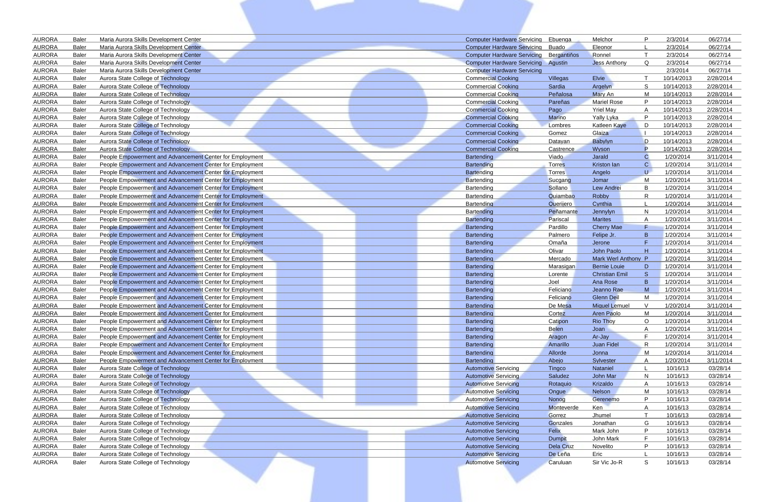| <b>AURORA</b>                  | <b>Baler</b>                 | Maria Aurora Skills Development Center                                                                               | <b>Computer Hardware Servicing</b> | Ebuenga           | Melchor                                    | P            | 2/3/2014               | 06/27/14               |
|--------------------------------|------------------------------|----------------------------------------------------------------------------------------------------------------------|------------------------------------|-------------------|--------------------------------------------|--------------|------------------------|------------------------|
| <b>AURORA</b>                  | <b>Baler</b>                 | Maria Aurora Skills Development Center                                                                               | <b>Computer Hardware Servicing</b> | <b>Buado</b>      | Eleonor                                    |              | 2/3/2014               | 06/27/14               |
| <b>AURORA</b>                  | <b>Baler</b>                 | Maria Aurora Skills Development Center                                                                               | <b>Computer Hardware Servicing</b> | Berganti os       | Ronnel                                     |              | 2/3/2014               | 06/27/14               |
| <b>AURORA</b>                  | <b>Baler</b>                 | Maria Aurora Skills Development Center                                                                               | <b>Computer Hardware Servicing</b> | <b>Aqustin</b>    | <b>Jess Anthony</b>                        | Q            | 2/3/2014               | 06/27/14               |
| <b>AURORA</b>                  | <b>Baler</b>                 | Maria Aurora Skills Development Center                                                                               | <b>Computer Hardware Servicing</b> |                   |                                            |              | 2/3/2014               | 06/27/14               |
| <b>AURORA</b>                  | <b>Baler</b>                 | Aurora State College of Technology                                                                                   | <b>Commercial Cooking</b>          | Villegas          | Elvie                                      |              | 10/14/2013             | 2/28/2014              |
| <b>AURORA</b>                  | <b>Baler</b>                 | Aurora State College of Technology                                                                                   | <b>Commercial Cooking</b>          | Sardia            | Argelyn                                    | S            | 10/14/2013             | 2/28/2014              |
| <b>AURORA</b>                  | <b>Baler</b>                 | Aurora State College of Technology                                                                                   | <b>Commercial Cooking</b>          | Peñalosa          | Mary An                                    | M            | 10/14/2013             | 2/28/2014              |
| <b>AURORA</b>                  | <b>Baler</b>                 | Aurora State College of Technology                                                                                   | <b>Commercial Cooking</b>          | Pareñas           | <b>Mariel Rose</b>                         | P            | 10/14/2013             | 2/28/2014              |
| <b>AURORA</b>                  | <b>Baler</b>                 | Aurora State College of Technology                                                                                   | <b>Commercial Cooking</b>          | Pago              | <b>Yriel May</b>                           |              | 10/14/2013             | 2/28/2014              |
| <b>AURORA</b>                  | <b>Baler</b>                 | Aurora State College of Technology                                                                                   | <b>Commercial Cooking</b>          | Marino            | Yally Lyka                                 | P            | 10/14/2013             | 2/28/2014              |
| <b>AURORA</b>                  | Baler                        | Aurora State College of Technology                                                                                   | <b>Commercial Cooking</b>          | Lombres           | <b>Katleen Kaye</b>                        | D            | 10/14/2013             | 2/28/2014              |
| <b>AURORA</b>                  | <b>Baler</b>                 | <b>Aurora State College of Technology</b>                                                                            | <b>Commercial Cooking</b>          | Gomez             | Glaiza                                     |              | 10/14/2013             | 2/28/2014              |
| <b>AURORA</b>                  | <b>Baler</b>                 | Aurora State College of Technology                                                                                   | <b>Commercial Cooking</b>          | Datayan           | Babylyn                                    | D            | 10/14/2013             | 2/28/2014              |
| <b>AURORA</b>                  | <b>Baler</b>                 | Aurora State College of Technology                                                                                   | <b>Commercial Cooking</b>          | Castrence         | Wyson                                      | P            | 10/14/2013             | 2/28/2014              |
| <b>AURORA</b>                  | <b>Baler</b>                 | People Empowerment and Advancement Center for Employment                                                             | Bartending                         | Viado             | Jarald                                     | C            | 1/20/2014              | 3/11/2014              |
| <b>AURORA</b>                  | <b>Baler</b>                 | People Empowerment and Advancement Center for Employment                                                             | Bartending                         | <b>Torres</b>     | Kriston lan                                | $\mathsf{C}$ | 1/20/2014              | 3/11/2014              |
| <b>AURORA</b>                  | <b>Baler</b>                 | People Empowerment and Advancement Center for Employment                                                             | Bartending                         | Torres            | Angelo                                     | U            | 1/20/2014              | 3/11/2014              |
| <b>AURORA</b>                  | <b>Baler</b>                 | People Empowerment and Advancement Center for Employment                                                             | Bartending                         | Sucgang           | Jomar                                      | M            | 1/20/2014              | 3/11/2014              |
| <b>AURORA</b>                  | <b>Baler</b>                 | People Empowerment and Advancement Center for Employment                                                             | Bartending                         | Sollano           | Lew Andrei                                 | B            | 1/20/2014              | 3/11/2014              |
| <b>AURORA</b>                  | <b>Baler</b>                 | People Empowerment and Advancement Center for Employment                                                             | Bartending                         | Quiambao          | Robby                                      | R            | 1/20/2014              | 3/11/2014              |
| <b>AURORA</b>                  | <b>Baler</b>                 | People Empowerment and Advancement Center for Employment                                                             | Bartending                         | Querijero         | Cynthia                                    |              | 1/20/2014              | 3/11/2014              |
| <b>AURORA</b>                  | <b>Baler</b>                 | People Empowerment and Advancement Center for Employment                                                             | <b>Bartending</b>                  | Peñamante         | Jennylyn                                   | N            | 1/20/2014              | 3/11/2014              |
| <b>AURORA</b>                  | <b>Baler</b>                 | People Empowerment and Advancement Center for Employment                                                             | <b>Bartending</b>                  | Pariscal          | <b>Marites</b>                             | A            | 1/20/2014              | 3/11/2014              |
| <b>AURORA</b>                  | <b>Baler</b>                 | People Empowerment and Advancement Center for Employment                                                             | Bartending                         | Pardillo          | <b>Cherry Mae</b>                          | F            | 1/20/2014              | 3/11/2014              |
| <b>AURORA</b>                  | <b>Baler</b>                 | People Empowerment and Advancement Center for Employment                                                             | Bartending                         | Palmero           | Felipe Jr.                                 | B            | 1/20/2014              | 3/11/2014              |
| <b>AURORA</b>                  | <b>Baler</b>                 | People Empowerment and Advancement Center for Employment                                                             | Bartending                         | Omaña             | Jerone                                     |              | 1/20/2014              | 3/11/2014              |
| <b>AURORA</b>                  | <b>Baler</b>                 | People Empowerment and Advancement Center for Employment                                                             | Bartending                         | Olivar            | John Paolo                                 | H            | 1/20/2014              | 3/11/2014              |
| <b>AURORA</b><br><b>AURORA</b> | <b>Baler</b>                 | People Empowerment and Advancement Center for Employment                                                             | Bartending                         | Mercado           | Mark Werl Anthony P<br><b>Bernie Louie</b> |              | 1/20/2014              | 3/11/2014              |
| <b>AURORA</b>                  | <b>Baler</b><br><b>Baler</b> | People Empowerment and Advancement Center for Employment<br>People Empowerment and Advancement Center for Employment | Bartending                         | Marasigan         | <b>Christian Emil</b>                      | D<br>S.      | 1/20/2014              | 3/11/2014<br>3/11/2014 |
| <b>AURORA</b>                  | <b>Baler</b>                 |                                                                                                                      | Bartending                         | Lorente           | Ana Rose                                   | B            | 1/20/2014<br>1/20/2014 | 3/11/2014              |
| <b>AURORA</b>                  | <b>Baler</b>                 | People Empowerment and Advancement Center for Employment<br>People Empowerment and Advancement Center for Employment | Bartending<br>Bartending           | Joel<br>Feliciano | Jeanno Rae                                 | M            | 1/20/2014              | 3/11/2014              |
| <b>AURORA</b>                  | <b>Baler</b>                 | People Empowerment and Advancement Center for Employment                                                             | Bartending                         | Feliciano         | <b>Glenn Deil</b>                          | м            | 1/20/2014              | 3/11/2014              |
| <b>AURORA</b>                  | <b>Baler</b>                 | People Empowerment and Advancement Center for Employment                                                             | Bartending                         | De Mesa           | <b>Miguel Lemuel</b>                       | V            | 1/20/2014              | 3/11/2014              |
| <b>AURORA</b>                  | <b>Baler</b>                 | People Empowerment and Advancement Center for Employment                                                             | Bartending                         | Cortez            | Aren Paolo                                 | М            | 1/20/2014              | 3/11/2014              |
| <b>AURORA</b>                  | <b>Baler</b>                 | People Empowerment and Advancement Center for Employment                                                             | Bartending                         | Catipon           | <b>Rio Thoy</b>                            | $\circ$      | 1/20/2014              | 3/11/2014              |
| <b>AURORA</b>                  | <b>Baler</b>                 | People Empowerment and Advancement Center for Employment                                                             | Bartending                         | <b>Belen</b>      | Joan                                       | A            | 1/20/2014              | 3/11/2014              |
| <b>AURORA</b>                  | <b>Baler</b>                 | People Empowerment and Advancement Center for Employment                                                             | Bartending                         | Aragon            | Ar-Jay                                     |              | 1/20/2014              | 3/11/2014              |
| <b>AURORA</b>                  | <b>Baler</b>                 | People Empowerment and Advancement Center for Employment                                                             | Bartending                         | Amarillo          | Juan Fidel                                 | R            | 1/20/2014              | 3/11/2014              |
| <b>AURORA</b>                  | <b>Baler</b>                 | People Empowerment and Advancement Center for Employment                                                             | Bartending                         | Allorde           | Jonna                                      | M            | 1/20/2014              | 3/11/2014              |
| <b>AURORA</b>                  | <b>Baler</b>                 | People Empowerment and Advancement Center for Employment                                                             | Bartending                         | Abejo             | Sylvester                                  | A            | 1/20/2014              | 3/11/2014              |
| <b>AURORA</b>                  | <b>Baler</b>                 | Aurora State College of Technology                                                                                   | <b>Automotive Servicing</b>        | Tingco            | Nataniel                                   |              | 10/16/13               | 03/28/14               |
| <b>AURORA</b>                  | <b>Baler</b>                 | Aurora State College of Technology                                                                                   | <b>Automotive Servicing</b>        | Saludez           | John Mar                                   | N            | 10/16/13               | 03/28/14               |
| <b>AURORA</b>                  | <b>Baler</b>                 | <b>Aurora State College of Technology</b>                                                                            | <b>Automotive Servicing</b>        | Rotaquio          | Krizaldo                                   | A            | 10/16/13               | 03/28/14               |
| <b>AURORA</b>                  | <b>Baler</b>                 | Aurora State College of Technology                                                                                   | <b>Automotive Servicing</b>        | Ongue             | Nelson                                     | M            | 10/16/13               | 03/28/14               |
| <b>AURORA</b>                  | <b>Baler</b>                 | Aurora State College of Technology                                                                                   | <b>Automotive Servicing</b>        | Nonog             | Gerenemo                                   | P.           | 10/16/13               | 03/28/14               |
| <b>AURORA</b>                  | <b>Baler</b>                 | Aurora State College of Technology                                                                                   | <b>Automotive Servicing</b>        | Monteverde        | Ken                                        | A            | 10/16/13               | 03/28/14               |
| <b>AURORA</b>                  | <b>Baler</b>                 | Aurora State College of Technology                                                                                   | <b>Automotive Servicing</b>        | Gorrez            | Jhumel                                     | $\mathsf{T}$ | 10/16/13               | 03/28/14               |
| <b>AURORA</b>                  | <b>Baler</b>                 | Aurora State College of Technology                                                                                   | <b>Automotive Servicing</b>        | Gonzales          | Jonathan                                   | G            | 10/16/13               | 03/28/14               |
| <b>AURORA</b>                  | <b>Baler</b>                 | Aurora State College of Technology                                                                                   | <b>Automotive Servicing</b>        | Felix             | Mark John                                  | P            | 10/16/13               | 03/28/14               |
| <b>AURORA</b>                  | <b>Baler</b>                 | Aurora State College of Technology                                                                                   | <b>Automotive Servicing</b>        | Dumpit            | John Mark                                  |              | 10/16/13               | 03/28/14               |
| <b>AURORA</b>                  | <b>Baler</b>                 | Aurora State College of Technology                                                                                   | <b>Automotive Servicing</b>        | Dela Cruz         | Novelito                                   | P            | 10/16/13               | 03/28/14               |
| <b>AURORA</b>                  | <b>Baler</b>                 | Aurora State College of Technology                                                                                   | <b>Automotive Servicing</b>        | De Leña           | Eric                                       |              | 10/16/13               | 03/28/14               |
| <b>AURORA</b>                  | <b>Baler</b>                 | Aurora State College of Technology                                                                                   | <b>Automotive Servicing</b>        | Caruluan          | Sir Vic Jo-R                               | S            | 10/16/13               | 03/28/14               |
|                                |                              |                                                                                                                      |                                    |                   |                                            |              |                        |                        |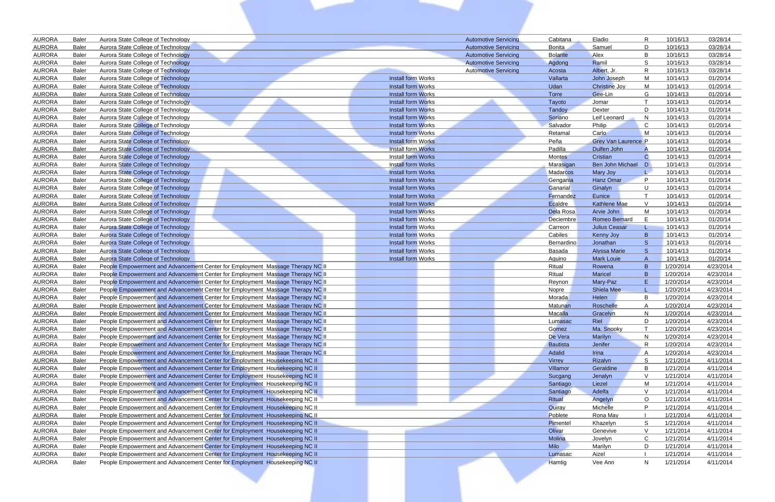| <b>AURORA</b>                  | <b>Baler</b>                 | Aurora State College of Technology                                                                                                                               |                           | <b>Automotive Servicing</b> | Cabitana         | R<br>Eladio                  | 10/16/13               | 03/28/14               |
|--------------------------------|------------------------------|------------------------------------------------------------------------------------------------------------------------------------------------------------------|---------------------------|-----------------------------|------------------|------------------------------|------------------------|------------------------|
| <b>AURORA</b>                  | <b>Baler</b>                 | Aurora State College of Technology                                                                                                                               |                           | <b>Automotive Servicing</b> | <b>Bonita</b>    | Samuel<br>D                  | 10/16/13               | 03/28/14               |
| <b>AURORA</b>                  | <b>Baler</b>                 | Aurora State College of Technology                                                                                                                               |                           | <b>Automotive Servicing</b> | <b>Bolante</b>   | Alex<br>B                    | 10/16/13               | 03/28/14               |
| <b>AURORA</b>                  | <b>Baler</b>                 | Aurora State College of Technology                                                                                                                               |                           | <b>Automotive Servicing</b> | Agdong           | Ramil<br>S                   | 10/16/13               | 03/28/14               |
| <b>AURORA</b>                  | <b>Baler</b>                 | Aurora State College of Technology                                                                                                                               |                           | <b>Automotive Servicing</b> | Acosta           | Albert, Jr.<br>R             | 10/16/13               | 03/28/14               |
| <b>AURORA</b>                  | <b>Baler</b>                 | Aurora State College of Technology                                                                                                                               | <b>Install form Works</b> |                             | Vallarta         | M<br>John Joseph             | 10/14/13               | 01/20/14               |
| <b>AURORA</b>                  | <b>Baler</b>                 | Aurora State College of Technology                                                                                                                               | <b>Install form Works</b> |                             | Udan             | <b>Christine Joy</b><br>м    | 10/14/13               | 01/20/14               |
| <b>AURORA</b>                  | <b>Baler</b>                 | Aurora State College of Technology                                                                                                                               | Install form Works        |                             | Torre            | Gee-Lin<br>G                 | 10/14/13               | 01/20/14               |
| <b>AURORA</b>                  | <b>Baler</b>                 | Aurora State College of Technology                                                                                                                               | <b>Install form Works</b> |                             | Tayoto           | Jomar                        | 10/14/13               | 01/20/14               |
| <b>AURORA</b>                  | <b>Baler</b>                 | Aurora State College of Technology                                                                                                                               | <b>Install form Works</b> |                             | Tandoy           | D<br>Dexter                  | 10/14/13               | 01/20/14               |
| <b>AURORA</b>                  | <b>Baler</b>                 | Aurora State College of Technology                                                                                                                               | <b>Install form Works</b> |                             | Soriano          | $\mathsf{N}$<br>Leif Leonard | 10/14/13               | 01/20/14               |
| <b>AURORA</b>                  | <b>Baler</b>                 | Aurora State College of Technology                                                                                                                               | <b>Install form Works</b> |                             | Salvador         | C.<br>Philip                 | 10/14/13               | 01/20/14               |
| <b>AURORA</b>                  | <b>Baler</b>                 | <b>Aurora State College of Technology</b>                                                                                                                        | <b>Install form Works</b> |                             | Retamal          | Carlo<br>M                   | 10/14/13               | 01/20/14               |
| <b>AURORA</b>                  | <b>Baler</b>                 | <b>Aurora State College of Technology</b>                                                                                                                        | <b>Install form Works</b> |                             | Peña             | <b>Grey Van Laurence P</b>   | 10/14/13               | 01/20/14               |
| <b>AURORA</b>                  | <b>Baler</b>                 | Aurora State College of Technology                                                                                                                               | <b>Install form Works</b> |                             | Padilla          | Dulfen John                  | 10/14/13               | 01/20/14               |
| <b>AURORA</b>                  | <b>Baler</b>                 | Aurora State College of Technology                                                                                                                               | <b>Install form Works</b> |                             | Montes           | Cristian<br>C                | 10/14/13               | 01/20/14               |
| <b>AURORA</b>                  | <b>Baler</b>                 | Aurora State College of Technology                                                                                                                               | <b>Install form Works</b> |                             | Marasigan        | Ben John Michael D           | 10/14/13               | 01/20/14               |
| <b>AURORA</b>                  | <b>Baler</b>                 | Aurora State College of Technology                                                                                                                               | <b>Install form Works</b> |                             | Madarcos         | Mary Joy                     | 10/14/13               | 01/20/14               |
| <b>AURORA</b>                  | <b>Baler</b>                 | <b>Aurora State College of Technology</b>                                                                                                                        | Install form Works        |                             | Gengania         | P<br><b>Hanz Omar</b>        | 10/14/13               | 01/20/14               |
| <b>AURORA</b>                  | <b>Baler</b>                 | <b>Aurora State College of Technology</b>                                                                                                                        | <b>Install form Works</b> |                             | Ganarial         | Ginalyn<br>U                 | 10/14/13               | 01/20/14               |
| <b>AURORA</b>                  | <b>Baler</b>                 | <b>Aurora State College of Technology</b>                                                                                                                        | <b>Install form Works</b> |                             | Fernandez        | Eunice                       | 10/14/13               | 01/20/14               |
| <b>AURORA</b>                  | <b>Baler</b>                 | Aurora State College of Technology                                                                                                                               | Install form Works        |                             | Ecaldre          | <b>Kathlene Mae</b><br>V     | 10/14/13               | 01/20/14               |
| <b>AURORA</b>                  | <b>Baler</b>                 | Aurora State College of Technology                                                                                                                               | Install form Works        |                             | Dela Rosa        | Arvie John<br>м              | 10/14/13               | 01/20/14               |
| <b>AURORA</b>                  | <b>Baler</b>                 | Aurora State College of Technology                                                                                                                               | Install form Works        |                             | <b>Deciembre</b> | <b>Romeo Bernard</b><br>E.   | 10/14/13               | 01/20/14               |
| <b>AURORA</b>                  | <b>Baler</b>                 | Aurora State College of Technology                                                                                                                               | Install form Works        |                             | Carreon          | <b>Julius Ceasar</b><br>L    | 10/14/13               | 01/20/14               |
| <b>AURORA</b>                  | <b>Baler</b>                 | Aurora State College of Technology                                                                                                                               | Install form Works        |                             | Cabiles          | B<br>Kenny Joy               | 10/14/13               | 01/20/14               |
| <b>AURORA</b>                  | <b>Baler</b>                 | <b>Aurora State College of Technology</b>                                                                                                                        | Install form Works        |                             | Bernardino       | S.<br>Jonathan               | 10/14/13               | 01/20/14               |
| <b>AURORA</b>                  | <b>Baler</b>                 | Aurora State College of Technology                                                                                                                               | Install form Works        |                             | Basada           | S.<br><b>Alyssa Marie</b>    | 10/14/13               | 01/20/14               |
| <b>AURORA</b>                  | <b>Baler</b>                 | Aurora State College of Technology                                                                                                                               | Install form Works        |                             | Aquino           | <b>Mark Louie</b><br>A       | 10/14/13               | 01/20/14               |
| <b>AURORA</b>                  | <b>Baler</b>                 | People Empowerment and Advancement Center for Employment Massage Therapy NC II                                                                                   |                           |                             | Ritual           | B.<br>Rowena                 | 1/20/2014              | 4/23/2014              |
| <b>AURORA</b>                  | <b>Baler</b>                 | People Empowerment and Advancement Center for Employment Massage Therapy NC II                                                                                   |                           |                             | Ritual           | B<br><b>Maricel</b>          | 1/20/2014              | 4/23/2014              |
| <b>AURORA</b>                  | <b>Baler</b>                 | People Empowerment and Advancement Center for Employment Massage Therapy NC II                                                                                   |                           |                             | Reynon           | E<br>Mary-Paz                | 1/20/2014              | 4/23/2014              |
| <b>AURORA</b>                  | <b>Baler</b>                 | People Empowerment and Advancement Center for Employment Massage Therapy NC II                                                                                   |                           |                             | <b>Nopre</b>     | <b>Shiela Mee</b>            | 1/20/2014              | 4/23/2014              |
| <b>AURORA</b>                  | <b>Baler</b>                 | People Empowerment and Advancement Center for Employment Massage Therapy NC II                                                                                   |                           |                             | Morada           | B<br>Helen                   | 1/20/2014              | 4/23/2014              |
| <b>AURORA</b>                  | <b>Baler</b>                 | People Empowerment and Advancement Center for Employment Massage Therapy NC II                                                                                   |                           |                             | Matunan          | Roschelle<br>A<br>N          | 1/20/2014              | 4/23/2014              |
| <b>AURORA</b><br><b>AURORA</b> | <b>Baler</b><br><b>Baler</b> | People Empowerment and Advancement Center for Employment Massage Therapy NC II<br>People Empowerment and Advancement Center for Employment Massage Therapy NC II |                           |                             | Macalla          | Gracelyn<br>D                | 1/20/2014              | 4/23/2014<br>4/23/2014 |
| <b>AURORA</b>                  | <b>Baler</b>                 | People Empowerment and Advancement Center for Employment Massage Therapy NC II                                                                                   |                           |                             | Lumasac<br>Gomez | Riel<br>Ma. Snooky           | 1/20/2014<br>1/20/2014 | 4/23/2014              |
| <b>AURORA</b>                  | <b>Baler</b>                 | People Empowerment and Advancement Center for Employment Massage Therapy NC II                                                                                   |                           |                             | De Vera          | N<br>Marilyn                 | 1/20/2014              | 4/23/2014              |
| <b>AURORA</b>                  | <b>Baler</b>                 | People Empowerment and Advancement Center for Employment Massage Therapy NC II                                                                                   |                           |                             | <b>Bautista</b>  | R<br>Jenifer                 | 1/20/2014              | 4/23/2014              |
| <b>AURORA</b>                  | <b>Baler</b>                 | People Empowerment and Advancement Center for Employment Massage Therapy NC II                                                                                   |                           |                             | Adalid           | Irina<br>A                   | 1/20/2014              | 4/23/2014              |
| <b>AURORA</b>                  | <b>Baler</b>                 | People Empowerment and Advancement Center for Employment Housekeeping NC II                                                                                      |                           |                             | Virrey           | -S<br>Rizalyn                | 1/21/2014              | 4/11/2014              |
| <b>AURORA</b>                  | <b>Baler</b>                 | People Empowerment and Advancement Center for Employment Housekeeping NC II                                                                                      |                           |                             | Villamor         | B<br>Geraldine               | 1/21/2014              | 4/11/2014              |
| <b>AURORA</b>                  | <b>Baler</b>                 | People Empowerment and Advancement Center for Employment Housekeeping NC II                                                                                      |                           |                             | Sucgang          | <b>V</b><br>Jenalyn          | 1/21/2014              | 4/11/2014              |
| <b>AURORA</b>                  | <b>Baler</b>                 | People Empowerment and Advancement Center for Employment Housekeeping NC II                                                                                      |                           |                             | Santiago         | M<br>Liezel                  | 1/21/2014              | 4/11/2014              |
| <b>AURORA</b>                  | <b>Baler</b>                 | People Empowerment and Advancement Center for Employment Housekeeping NC II                                                                                      |                           |                             | Santiago         | $\vee$<br>Adelfa             | 1/21/2014              | 4/11/2014              |
| <b>AURORA</b>                  | <b>Baler</b>                 | People Empowerment and Advancement Center for Employment Housekeeping NC II                                                                                      |                           |                             | Ritual           | $\circ$<br>Angelyn           | 1/21/2014              | 4/11/2014              |
| <b>AURORA</b>                  | <b>Baler</b>                 | People Empowerment and Advancement Center for Employment Housekeeping NC II                                                                                      |                           |                             | Quiray           | P<br>Michelle                | 1/21/2014              | 4/11/2014              |
| <b>AURORA</b>                  | <b>Baler</b>                 | People Empowerment and Advancement Center for Employment Housekeeping NC II                                                                                      |                           |                             | Poblete          | Rona May                     | 1/21/2014              | 4/11/2014              |
| <b>AURORA</b>                  | <b>Baler</b>                 | People Empowerment and Advancement Center for Employment Housekeeping NC II                                                                                      |                           |                             | Pimentel         | S<br>Khazelyn                | 1/21/2014              | 4/11/2014              |
| <b>AURORA</b>                  | <b>Baler</b>                 | People Empowerment and Advancement Center for Employment Housekeeping NC II                                                                                      |                           |                             | Olivar           | $\vee$<br>Genevive           | 1/21/2014              | 4/11/2014              |
| <b>AURORA</b>                  | <b>Baler</b>                 | People Empowerment and Advancement Center for Employment Housekeeping NC II                                                                                      |                           |                             | Molina           | C<br>Jovelyn                 | 1/21/2014              | 4/11/2014              |
| <b>AURORA</b>                  | <b>Baler</b>                 | People Empowerment and Advancement Center for Employment Housekeeping NC II                                                                                      |                           |                             | Milo             | D<br>Marilyn                 | 1/21/2014              | 4/11/2014              |
| <b>AURORA</b>                  | <b>Baler</b>                 | People Empowerment and Advancement Center for Employment Housekeeping NC II                                                                                      |                           |                             | Lumasac          | Aizel                        | 1/21/2014              | 4/11/2014              |
| <b>AURORA</b>                  | <b>Baler</b>                 | People Empowerment and Advancement Center for Employment Housekeeping NC II                                                                                      |                           |                             | Hamtig           | Vee Ann<br>N                 | 1/21/2014              | 4/11/2014              |
|                                |                              |                                                                                                                                                                  |                           |                             |                  |                              |                        |                        |